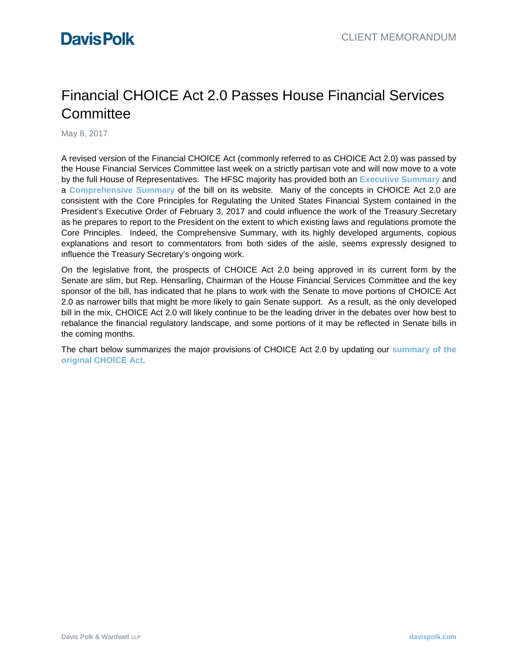# Financial CHOICE Act 2.0 Passes House Financial Services **Committee**

May 8, 2017

A revised version of the Financial CHOICE Act (commonly referred to as CHOICE Act 2.0) was passed by the House Financial Services Committee last week on a strictly partisan vote and will now move to a vote by the full House of Representatives. The HFSC majority has provided both an **[Executive Summary](https://financialservices.house.gov/UploadedFiles/Financial_CHOICE_Act-_Executive_Summary_FINAL.pdf)** and a **[Comprehensive Summary](https://financialservices.house.gov/UploadedFiles/2017-04-24_Financial_CHOICE_Act_of_2017_Comprehensive_Summary_Final.pdf)** of the bill on its website. Many of the concepts in CHOICE Act 2.0 are consistent with the Core Principles for Regulating the United States Financial System contained in the President's Executive Order of February 3, 2017 and could influence the work of the Treasury Secretary as he prepares to report to the President on the extent to which existing laws and regulations promote the Core Principles. Indeed, the Comprehensive Summary, with its highly developed arguments, copious explanations and resort to commentators from both sides of the aisle, seems expressly designed to influence the Treasury Secretary's ongoing work.

On the legislative front, the prospects of CHOICE Act 2.0 being approved in its current form by the Senate are slim, but Rep. Hensarling, Chairman of the House Financial Services Committee and the key sponsor of the bill, has indicated that he plans to work with the Senate to move portions of CHOICE Act 2.0 as narrower bills that might be more likely to gain Senate support. As a result, as the only developed bill in the mix, CHOICE Act 2.0 will likely continue to be the leading driver in the debates over how best to rebalance the financial regulatory landscape, and some portions of it may be reflected in Senate bills in the coming months.

The chart below summarizes the major provisions of CHOICE Act 2.0 by updating our **[summary of the](https://alerts.davispolk.com/10/2493/uploads/2016-11-17-trump-transition-financial-choice-act-only-the-beginning.pdf)  [original CHOICE Act](https://alerts.davispolk.com/10/2493/uploads/2016-11-17-trump-transition-financial-choice-act-only-the-beginning.pdf)**.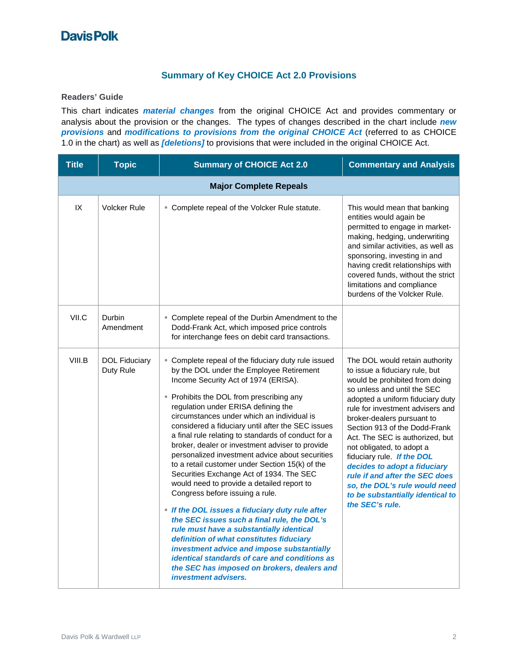#### **Summary of Key CHOICE Act 2.0 Provisions**

**Readers' Guide** 

This chart indicates *material changes* from the original CHOICE Act and provides commentary or analysis about the provision or the changes.The types of changes described in the chart include *new provisions* and *modifications to provisions from the original CHOICE Act* (referred to as CHOICE 1.0 in the chart) as well as *[deletions]* to provisions that were included in the original CHOICE Act.

| <b>Title</b> | <b>Topic</b>                      | <b>Summary of CHOICE Act 2.0</b>                                                                                                                                                                                                                                                                                                                                                                                                                                                                                                                                                                                                                                                                                                                                                                                                                                                                                                                                                                                                                  | <b>Commentary and Analysis</b>                                                                                                                                                                                                                                                                                                                                                                                                                                                                                                   |  |  |
|--------------|-----------------------------------|---------------------------------------------------------------------------------------------------------------------------------------------------------------------------------------------------------------------------------------------------------------------------------------------------------------------------------------------------------------------------------------------------------------------------------------------------------------------------------------------------------------------------------------------------------------------------------------------------------------------------------------------------------------------------------------------------------------------------------------------------------------------------------------------------------------------------------------------------------------------------------------------------------------------------------------------------------------------------------------------------------------------------------------------------|----------------------------------------------------------------------------------------------------------------------------------------------------------------------------------------------------------------------------------------------------------------------------------------------------------------------------------------------------------------------------------------------------------------------------------------------------------------------------------------------------------------------------------|--|--|
|              | <b>Major Complete Repeals</b>     |                                                                                                                                                                                                                                                                                                                                                                                                                                                                                                                                                                                                                                                                                                                                                                                                                                                                                                                                                                                                                                                   |                                                                                                                                                                                                                                                                                                                                                                                                                                                                                                                                  |  |  |
| IX           | <b>Volcker Rule</b>               | • Complete repeal of the Volcker Rule statute.                                                                                                                                                                                                                                                                                                                                                                                                                                                                                                                                                                                                                                                                                                                                                                                                                                                                                                                                                                                                    | This would mean that banking<br>entities would again be<br>permitted to engage in market-<br>making, hedging, underwriting<br>and similar activities, as well as<br>sponsoring, investing in and<br>having credit relationships with<br>covered funds, without the strict<br>limitations and compliance<br>burdens of the Volcker Rule.                                                                                                                                                                                          |  |  |
| VII.C        | Durbin<br>Amendment               | • Complete repeal of the Durbin Amendment to the<br>Dodd-Frank Act, which imposed price controls<br>for interchange fees on debit card transactions.                                                                                                                                                                                                                                                                                                                                                                                                                                                                                                                                                                                                                                                                                                                                                                                                                                                                                              |                                                                                                                                                                                                                                                                                                                                                                                                                                                                                                                                  |  |  |
| VIII.B       | <b>DOL Fiduciary</b><br>Duty Rule | • Complete repeal of the fiduciary duty rule issued<br>by the DOL under the Employee Retirement<br>Income Security Act of 1974 (ERISA).<br>• Prohibits the DOL from prescribing any<br>regulation under ERISA defining the<br>circumstances under which an individual is<br>considered a fiduciary until after the SEC issues<br>a final rule relating to standards of conduct for a<br>broker, dealer or investment adviser to provide<br>personalized investment advice about securities<br>to a retail customer under Section 15(k) of the<br>Securities Exchange Act of 1934. The SEC<br>would need to provide a detailed report to<br>Congress before issuing a rule.<br>. If the DOL issues a fiduciary duty rule after<br>the SEC issues such a final rule, the DOL's<br>rule must have a substantially identical<br>definition of what constitutes fiduciary<br>investment advice and impose substantially<br>identical standards of care and conditions as<br>the SEC has imposed on brokers, dealers and<br><i>investment advisers.</i> | The DOL would retain authority<br>to issue a fiduciary rule, but<br>would be prohibited from doing<br>so unless and until the SEC<br>adopted a uniform fiduciary duty<br>rule for investment advisers and<br>broker-dealers pursuant to<br>Section 913 of the Dodd-Frank<br>Act. The SEC is authorized, but<br>not obligated, to adopt a<br>fiduciary rule. If the DOL<br>decides to adopt a fiduciary<br>rule if and after the SEC does<br>so, the DOL's rule would need<br>to be substantially identical to<br>the SEC's rule. |  |  |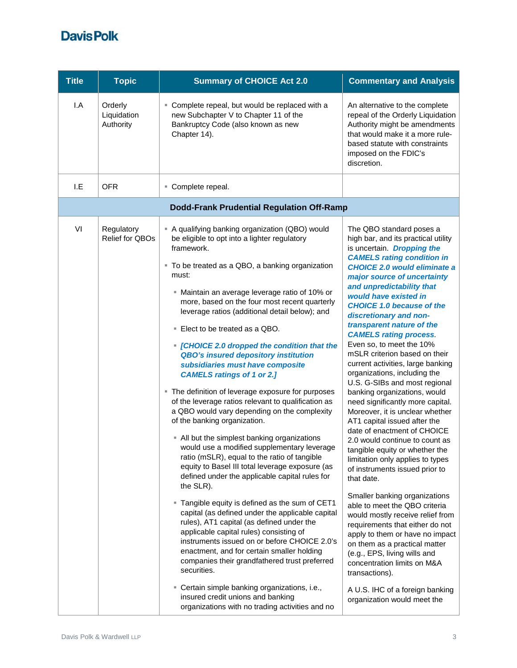| <b>Title</b> | <b>Topic</b>                        | <b>Summary of CHOICE Act 2.0</b>                                                                                                                                                                                                                                                                                                                                                                                                                                                                                                                                                                                                                                                                                                                                                                                                                                                                                                                                                                                                                                                                                                                                                                                                                                                                                                                                                                                                                                                                               | <b>Commentary and Analysis</b>                                                                                                                                                                                                                                                                                                                                                                                                                                                                                                                                                                                                                                                                                                                                                                                                                                                                                                                                                                                                                                                                                                                                                                                                                              |
|--------------|-------------------------------------|----------------------------------------------------------------------------------------------------------------------------------------------------------------------------------------------------------------------------------------------------------------------------------------------------------------------------------------------------------------------------------------------------------------------------------------------------------------------------------------------------------------------------------------------------------------------------------------------------------------------------------------------------------------------------------------------------------------------------------------------------------------------------------------------------------------------------------------------------------------------------------------------------------------------------------------------------------------------------------------------------------------------------------------------------------------------------------------------------------------------------------------------------------------------------------------------------------------------------------------------------------------------------------------------------------------------------------------------------------------------------------------------------------------------------------------------------------------------------------------------------------------|-------------------------------------------------------------------------------------------------------------------------------------------------------------------------------------------------------------------------------------------------------------------------------------------------------------------------------------------------------------------------------------------------------------------------------------------------------------------------------------------------------------------------------------------------------------------------------------------------------------------------------------------------------------------------------------------------------------------------------------------------------------------------------------------------------------------------------------------------------------------------------------------------------------------------------------------------------------------------------------------------------------------------------------------------------------------------------------------------------------------------------------------------------------------------------------------------------------------------------------------------------------|
| I.A          | Orderly<br>Liquidation<br>Authority | • Complete repeal, but would be replaced with a<br>new Subchapter V to Chapter 11 of the<br>Bankruptcy Code (also known as new<br>Chapter 14).                                                                                                                                                                                                                                                                                                                                                                                                                                                                                                                                                                                                                                                                                                                                                                                                                                                                                                                                                                                                                                                                                                                                                                                                                                                                                                                                                                 | An alternative to the complete<br>repeal of the Orderly Liquidation<br>Authority might be amendments<br>that would make it a more rule-<br>based statute with constraints<br>imposed on the FDIC's<br>discretion.                                                                                                                                                                                                                                                                                                                                                                                                                                                                                                                                                                                                                                                                                                                                                                                                                                                                                                                                                                                                                                           |
| I.E          | <b>OFR</b>                          | • Complete repeal.                                                                                                                                                                                                                                                                                                                                                                                                                                                                                                                                                                                                                                                                                                                                                                                                                                                                                                                                                                                                                                                                                                                                                                                                                                                                                                                                                                                                                                                                                             |                                                                                                                                                                                                                                                                                                                                                                                                                                                                                                                                                                                                                                                                                                                                                                                                                                                                                                                                                                                                                                                                                                                                                                                                                                                             |
|              |                                     | <b>Dodd-Frank Prudential Regulation Off-Ramp</b>                                                                                                                                                                                                                                                                                                                                                                                                                                                                                                                                                                                                                                                                                                                                                                                                                                                                                                                                                                                                                                                                                                                                                                                                                                                                                                                                                                                                                                                               |                                                                                                                                                                                                                                                                                                                                                                                                                                                                                                                                                                                                                                                                                                                                                                                                                                                                                                                                                                                                                                                                                                                                                                                                                                                             |
| VI           | Regulatory<br>Relief for QBOs       | - A qualifying banking organization (QBO) would<br>be eligible to opt into a lighter regulatory<br>framework.<br>" To be treated as a QBO, a banking organization<br>must:<br>" Maintain an average leverage ratio of 10% or<br>more, based on the four most recent quarterly<br>leverage ratios (additional detail below); and<br>■ Elect to be treated as a QBO.<br>• [CHOICE 2.0 dropped the condition that the<br><b>QBO's insured depository institution</b><br>subsidiaries must have composite<br><b>CAMELS ratings of 1 or 2.]</b><br>• The definition of leverage exposure for purposes<br>of the leverage ratios relevant to qualification as<br>a QBO would vary depending on the complexity<br>of the banking organization.<br>• All but the simplest banking organizations<br>would use a modified supplementary leverage<br>ratio (mSLR), equal to the ratio of tangible<br>equity to Basel III total leverage exposure (as<br>defined under the applicable capital rules for<br>the SLR).<br>" Tangible equity is defined as the sum of CET1<br>capital (as defined under the applicable capital<br>rules), AT1 capital (as defined under the<br>applicable capital rules) consisting of<br>instruments issued on or before CHOICE 2.0's<br>enactment, and for certain smaller holding<br>companies their grandfathered trust preferred<br>securities.<br>" Certain simple banking organizations, i.e.,<br>insured credit unions and banking<br>organizations with no trading activities and no | The QBO standard poses a<br>high bar, and its practical utility<br>is uncertain. Dropping the<br><b>CAMELS rating condition in</b><br><b>CHOICE 2.0 would eliminate a</b><br>major source of uncertainty<br>and unpredictability that<br>would have existed in<br><b>CHOICE 1.0 because of the</b><br>discretionary and non-<br>transparent nature of the<br><b>CAMELS rating process.</b><br>Even so, to meet the 10%<br>mSLR criterion based on their<br>current activities, large banking<br>organizations, including the<br>U.S. G-SIBs and most regional<br>banking organizations, would<br>need significantly more capital.<br>Moreover, it is unclear whether<br>AT1 capital issued after the<br>date of enactment of CHOICE<br>2.0 would continue to count as<br>tangible equity or whether the<br>limitation only applies to types<br>of instruments issued prior to<br>that date.<br>Smaller banking organizations<br>able to meet the QBO criteria<br>would mostly receive relief from<br>requirements that either do not<br>apply to them or have no impact<br>on them as a practical matter<br>(e.g., EPS, living wills and<br>concentration limits on M&A<br>transactions).<br>A U.S. IHC of a foreign banking<br>organization would meet the |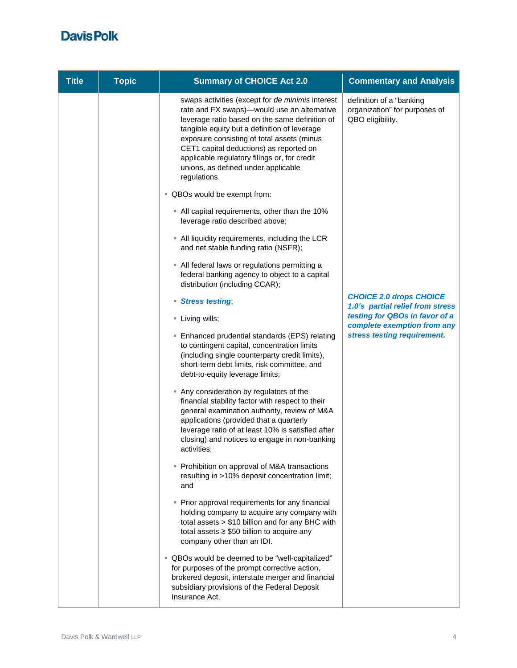| <b>Title</b> | <b>Topic</b> | <b>Summary of CHOICE Act 2.0</b>                                                                                                                                                                                                                                                                                                                                                                  | <b>Commentary and Analysis</b>                                                |
|--------------|--------------|---------------------------------------------------------------------------------------------------------------------------------------------------------------------------------------------------------------------------------------------------------------------------------------------------------------------------------------------------------------------------------------------------|-------------------------------------------------------------------------------|
|              |              | swaps activities (except for de minimis interest<br>rate and FX swaps)-would use an alternative<br>leverage ratio based on the same definition of<br>tangible equity but a definition of leverage<br>exposure consisting of total assets (minus<br>CET1 capital deductions) as reported on<br>applicable regulatory filings or, for credit<br>unions, as defined under applicable<br>regulations. | definition of a "banking<br>organization" for purposes of<br>QBO eligibility. |
|              |              | " QBOs would be exempt from:                                                                                                                                                                                                                                                                                                                                                                      |                                                                               |
|              |              | - All capital requirements, other than the 10%<br>leverage ratio described above;                                                                                                                                                                                                                                                                                                                 |                                                                               |
|              |              | • All liquidity requirements, including the LCR<br>and net stable funding ratio (NSFR);                                                                                                                                                                                                                                                                                                           |                                                                               |
|              |              | • All federal laws or regulations permitting a<br>federal banking agency to object to a capital<br>distribution (including CCAR);                                                                                                                                                                                                                                                                 |                                                                               |
|              |              | <b>Stress testing</b><br>٠                                                                                                                                                                                                                                                                                                                                                                        | <b>CHOICE 2.0 drops CHOICE</b><br>1.0's partial relief from stress            |
|              |              | Living wills;                                                                                                                                                                                                                                                                                                                                                                                     | testing for QBOs in favor of a<br>complete exemption from any                 |
|              |              | ■ Enhanced prudential standards (EPS) relating<br>to contingent capital, concentration limits<br>(including single counterparty credit limits),<br>short-term debt limits, risk committee, and<br>debt-to-equity leverage limits;                                                                                                                                                                 | stress testing requirement.                                                   |
|              |              | Any consideration by regulators of the<br>financial stability factor with respect to their<br>general examination authority, review of M&A<br>applications (provided that a quarterly<br>leverage ratio of at least 10% is satisfied after<br>closing) and notices to engage in non-banking<br>activities;                                                                                        |                                                                               |
|              |              | • Prohibition on approval of M&A transactions<br>resulting in >10% deposit concentration limit;<br>and                                                                                                                                                                                                                                                                                            |                                                                               |
|              |              | • Prior approval requirements for any financial<br>holding company to acquire any company with<br>total assets > \$10 billion and for any BHC with<br>total assets $\geq$ \$50 billion to acquire any<br>company other than an IDI.                                                                                                                                                               |                                                                               |
|              |              | " QBOs would be deemed to be "well-capitalized"<br>for purposes of the prompt corrective action,<br>brokered deposit, interstate merger and financial<br>subsidiary provisions of the Federal Deposit<br>Insurance Act.                                                                                                                                                                           |                                                                               |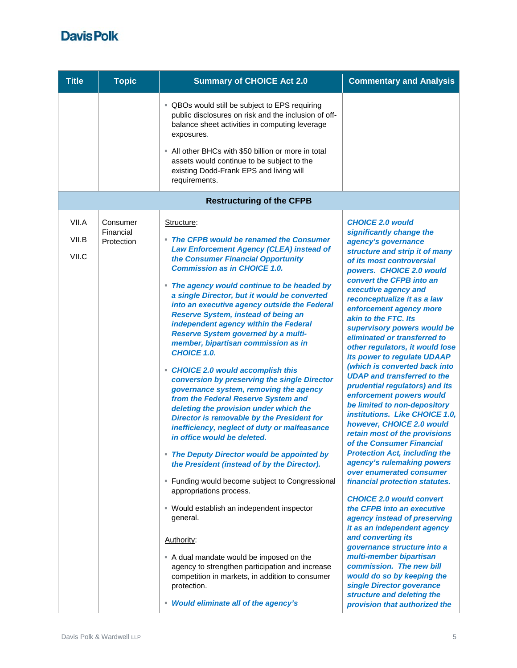| <b>Title</b>            | <b>Topic</b>                        | <b>Summary of CHOICE Act 2.0</b>                                                                                                                                                                                                                                                                                                                                                                                                                                                                                                                                                                                                                                                                                                                                                                                                                                                                                                                                                                                                                                                                                                                                                                                                                                                                                                                  | <b>Commentary and Analysis</b>                                                                                                                                                                                                                                                                                                                                                                                                                                                                                                                                                                                                                                                                                                                                                                                                                                                                                                                                                                                                                                                                                                                                                                                                                           |
|-------------------------|-------------------------------------|---------------------------------------------------------------------------------------------------------------------------------------------------------------------------------------------------------------------------------------------------------------------------------------------------------------------------------------------------------------------------------------------------------------------------------------------------------------------------------------------------------------------------------------------------------------------------------------------------------------------------------------------------------------------------------------------------------------------------------------------------------------------------------------------------------------------------------------------------------------------------------------------------------------------------------------------------------------------------------------------------------------------------------------------------------------------------------------------------------------------------------------------------------------------------------------------------------------------------------------------------------------------------------------------------------------------------------------------------|----------------------------------------------------------------------------------------------------------------------------------------------------------------------------------------------------------------------------------------------------------------------------------------------------------------------------------------------------------------------------------------------------------------------------------------------------------------------------------------------------------------------------------------------------------------------------------------------------------------------------------------------------------------------------------------------------------------------------------------------------------------------------------------------------------------------------------------------------------------------------------------------------------------------------------------------------------------------------------------------------------------------------------------------------------------------------------------------------------------------------------------------------------------------------------------------------------------------------------------------------------|
|                         |                                     | " QBOs would still be subject to EPS requiring<br>public disclosures on risk and the inclusion of off-<br>balance sheet activities in computing leverage<br>exposures.                                                                                                                                                                                                                                                                                                                                                                                                                                                                                                                                                                                                                                                                                                                                                                                                                                                                                                                                                                                                                                                                                                                                                                            |                                                                                                                                                                                                                                                                                                                                                                                                                                                                                                                                                                                                                                                                                                                                                                                                                                                                                                                                                                                                                                                                                                                                                                                                                                                          |
|                         |                                     | • All other BHCs with \$50 billion or more in total<br>assets would continue to be subject to the<br>existing Dodd-Frank EPS and living will<br>requirements.                                                                                                                                                                                                                                                                                                                                                                                                                                                                                                                                                                                                                                                                                                                                                                                                                                                                                                                                                                                                                                                                                                                                                                                     |                                                                                                                                                                                                                                                                                                                                                                                                                                                                                                                                                                                                                                                                                                                                                                                                                                                                                                                                                                                                                                                                                                                                                                                                                                                          |
|                         |                                     | <b>Restructuring of the CFPB</b>                                                                                                                                                                                                                                                                                                                                                                                                                                                                                                                                                                                                                                                                                                                                                                                                                                                                                                                                                                                                                                                                                                                                                                                                                                                                                                                  |                                                                                                                                                                                                                                                                                                                                                                                                                                                                                                                                                                                                                                                                                                                                                                                                                                                                                                                                                                                                                                                                                                                                                                                                                                                          |
| VII.A<br>VII.B<br>VII.C | Consumer<br>Financial<br>Protection | Structure:<br>• The CFPB would be renamed the Consumer<br><b>Law Enforcement Agency (CLEA) instead of</b><br>the Consumer Financial Opportunity<br><b>Commission as in CHOICE 1.0.</b><br>• The agency would continue to be headed by<br>a single Director, but it would be converted<br>into an executive agency outside the Federal<br><b>Reserve System, instead of being an</b><br>independent agency within the Federal<br><b>Reserve System governed by a multi-</b><br>member, bipartisan commission as in<br><b>CHOICE 1.0.</b><br>• CHOICE 2.0 would accomplish this<br>conversion by preserving the single Director<br>governance system, removing the agency<br>from the Federal Reserve System and<br>deleting the provision under which the<br>Director is removable by the President for<br>inefficiency, neglect of duty or malfeasance<br>in office would be deleted.<br>• The Deputy Director would be appointed by<br>the President (instead of by the Director).<br>■ Funding would become subject to Congressional<br>appropriations process.<br>■ Would establish an independent inspector<br>general.<br>Authority:<br>A dual mandate would be imposed on the<br>agency to strengthen participation and increase<br>competition in markets, in addition to consumer<br>protection.<br>• Would eliminate all of the agency's | <b>CHOICE 2.0 would</b><br>significantly change the<br>agency's governance<br>structure and strip it of many<br>of its most controversial<br>powers. CHOICE 2.0 would<br>convert the CFPB into an<br>executive agency and<br>reconceptualize it as a law<br>enforcement agency more<br>akin to the FTC. Its<br>supervisory powers would be<br>eliminated or transferred to<br>other regulators, it would lose<br>its power to regulate UDAAP<br>(which is converted back into<br><b>UDAP and transferred to the</b><br>prudential regulators) and its<br>enforcement powers would<br>be limited to non-depository<br>institutions. Like CHOICE 1.0,<br>however, CHOICE 2.0 would<br>retain most of the provisions<br>of the Consumer Financial<br><b>Protection Act, including the</b><br>agency's rulemaking powers<br>over enumerated consumer<br>financial protection statutes.<br><b>CHOICE 2.0 would convert</b><br>the CFPB into an executive<br>agency instead of preserving<br>it as an independent agency<br>and converting its<br>governance structure into a<br>multi-member bipartisan<br>commission. The new bill<br>would do so by keeping the<br>single Director goverance<br>structure and deleting the<br>provision that authorized the |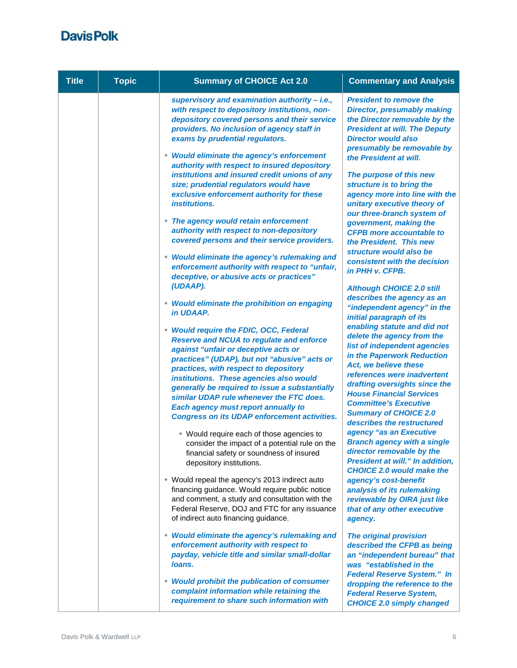| <b>Title</b> | <b>Topic</b> | <b>Summary of CHOICE Act 2.0</b>                                                                                                                                                                                                                                                                                                                                                                                                                                         | <b>Commentary and Analysis</b>                                                                                                                                                                                                                                                                                                                     |
|--------------|--------------|--------------------------------------------------------------------------------------------------------------------------------------------------------------------------------------------------------------------------------------------------------------------------------------------------------------------------------------------------------------------------------------------------------------------------------------------------------------------------|----------------------------------------------------------------------------------------------------------------------------------------------------------------------------------------------------------------------------------------------------------------------------------------------------------------------------------------------------|
|              |              | supervisory and examination authority - i.e.,<br>with respect to depository institutions, non-<br>depository covered persons and their service<br>providers. No inclusion of agency staff in<br>exams by prudential regulators.                                                                                                                                                                                                                                          | <b>President to remove the</b><br><b>Director, presumably making</b><br>the Director removable by the<br><b>President at will. The Deputy</b><br><b>Director would also</b><br>presumably be removable by                                                                                                                                          |
|              |              | • Would eliminate the agency's enforcement<br>authority with respect to insured depository<br>institutions and insured credit unions of any<br>size; prudential regulators would have<br>exclusive enforcement authority for these<br><i>institutions.</i><br>• The agency would retain enforcement                                                                                                                                                                      | the President at will.<br>The purpose of this new<br>structure is to bring the<br>agency more into line with the<br>unitary executive theory of<br>our three-branch system of<br>government, making the                                                                                                                                            |
|              |              | authority with respect to non-depository<br>covered persons and their service providers.                                                                                                                                                                                                                                                                                                                                                                                 | <b>CFPB</b> more accountable to<br>the President. This new<br>structure would also be                                                                                                                                                                                                                                                              |
|              |              | • Would eliminate the agency's rulemaking and<br>enforcement authority with respect to "unfair,<br>deceptive, or abusive acts or practices"                                                                                                                                                                                                                                                                                                                              | consistent with the decision<br>in PHH v. CFPB.                                                                                                                                                                                                                                                                                                    |
|              |              | (UDAAP).<br>• Would eliminate the prohibition on engaging<br>in UDAAP.                                                                                                                                                                                                                                                                                                                                                                                                   | <b>Although CHOICE 2.0 still</b><br>describes the agency as an<br>"independent agency" in the<br>initial paragraph of its                                                                                                                                                                                                                          |
|              |              | • Would require the FDIC, OCC, Federal<br><b>Reserve and NCUA to regulate and enforce</b><br>against "unfair or deceptive acts or<br>practices" (UDAP), but not "abusive" acts or<br>practices, with respect to depository<br>institutions. These agencies also would<br>generally be required to issue a substantially<br>similar UDAP rule whenever the FTC does.<br><b>Each agency must report annually to</b><br><b>Congress on its UDAP enforcement activities.</b> | enabling statute and did not<br>delete the agency from the<br>list of independent agencies<br>in the Paperwork Reduction<br>Act, we believe these<br>references were inadvertent<br>drafting oversights since the<br><b>House Financial Services</b><br><b>Committee's Executive</b><br><b>Summary of CHOICE 2.0</b><br>describes the restructured |
|              |              | ■ Would require each of those agencies to<br>consider the impact of a potential rule on the<br>financial safety or soundness of insured<br>depository institutions.                                                                                                                                                                                                                                                                                                      | agency "as an Executive<br><b>Branch agency with a single</b><br>director removable by the<br><b>President at will." In addition,</b>                                                                                                                                                                                                              |
|              |              | " Would repeal the agency's 2013 indirect auto<br>financing guidance. Would require public notice<br>and comment, a study and consultation with the<br>Federal Reserve, DOJ and FTC for any issuance<br>of indirect auto financing guidance.                                                                                                                                                                                                                             | <b>CHOICE 2.0 would make the</b><br>agency's cost-benefit<br>analysis of its rulemaking<br>reviewable by OIRA just like<br>that of any other executive<br>agency.                                                                                                                                                                                  |
|              |              | • Would eliminate the agency's rulemaking and<br>enforcement authority with respect to<br>payday, vehicle title and similar small-dollar<br>loans.                                                                                                                                                                                                                                                                                                                       | <b>The original provision</b><br>described the CFPB as being<br>an "independent bureau" that<br>was "established in the                                                                                                                                                                                                                            |
|              |              | • Would prohibit the publication of consumer<br>complaint information while retaining the<br>requirement to share such information with                                                                                                                                                                                                                                                                                                                                  | <b>Federal Reserve System." In</b><br>dropping the reference to the<br><b>Federal Reserve System,</b><br><b>CHOICE 2.0 simply changed</b>                                                                                                                                                                                                          |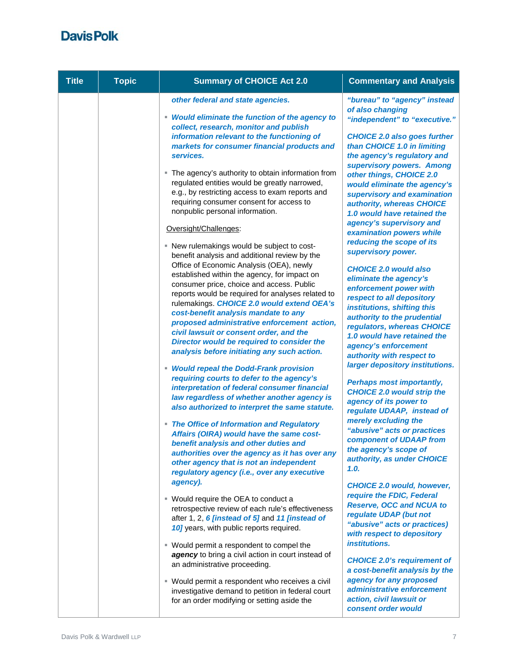| <b>Title</b> | <b>Topic</b> | <b>Summary of CHOICE Act 2.0</b>                                                                                                                                                                                                                                                                                                                                                                                                                                                                                                                                                                                                                                                                                                                                                                                                                                                                                                                                                                                                                                                       | <b>Commentary and Analysis</b>                                                                                                                                                                                                                                                                                                                                                                                                                                                                                                                                                                                                                                                                                                                            |
|--------------|--------------|----------------------------------------------------------------------------------------------------------------------------------------------------------------------------------------------------------------------------------------------------------------------------------------------------------------------------------------------------------------------------------------------------------------------------------------------------------------------------------------------------------------------------------------------------------------------------------------------------------------------------------------------------------------------------------------------------------------------------------------------------------------------------------------------------------------------------------------------------------------------------------------------------------------------------------------------------------------------------------------------------------------------------------------------------------------------------------------|-----------------------------------------------------------------------------------------------------------------------------------------------------------------------------------------------------------------------------------------------------------------------------------------------------------------------------------------------------------------------------------------------------------------------------------------------------------------------------------------------------------------------------------------------------------------------------------------------------------------------------------------------------------------------------------------------------------------------------------------------------------|
|              |              | other federal and state agencies.<br>• Would eliminate the function of the agency to<br>collect, research, monitor and publish<br>information relevant to the functioning of<br>markets for consumer financial products and<br>services.<br>• The agency's authority to obtain information from<br>regulated entities would be greatly narrowed,<br>e.g., by restricting access to exam reports and<br>requiring consumer consent for access to<br>nonpublic personal information.<br>Oversight/Challenges:<br>- New rulemakings would be subject to cost-<br>benefit analysis and additional review by the<br>Office of Economic Analysis (OEA), newly<br>established within the agency, for impact on<br>consumer price, choice and access. Public<br>reports would be required for analyses related to<br>rulemakings. CHOICE 2.0 would extend OEA's<br>cost-benefit analysis mandate to any<br>proposed administrative enforcement action,<br>civil lawsuit or consent order, and the<br>Director would be required to consider the<br>analysis before initiating any such action. | "bureau" to "agency" instead<br>of also changing<br>"independent" to "executive."<br><b>CHOICE 2.0 also goes further</b><br>than CHOICE 1.0 in limiting<br>the agency's regulatory and<br>supervisory powers. Among<br>other things, CHOICE 2.0<br>would eliminate the agency's<br>supervisory and examination<br>authority, whereas CHOICE<br>1.0 would have retained the<br>agency's supervisory and<br>examination powers while<br>reducing the scope of its<br>supervisory power.<br><b>CHOICE 2.0 would also</b><br>eliminate the agency's<br>enforcement power with<br>respect to all depository<br>institutions, shifting this<br>authority to the prudential<br>regulators, whereas CHOICE<br>1.0 would have retained the<br>agency's enforcement |
|              |              | <b>Would repeal the Dodd-Frank provision</b><br>requiring courts to defer to the agency's<br>interpretation of federal consumer financial<br>law regardless of whether another agency is<br>also authorized to interpret the same statute.<br>• The Office of Information and Regulatory<br>Affairs (OIRA) would have the same cost-<br>benefit analysis and other duties and<br>authorities over the agency as it has over any<br>other agency that is not an independent<br>regulatory agency (i.e., over any executive                                                                                                                                                                                                                                                                                                                                                                                                                                                                                                                                                              | authority with respect to<br>larger depository institutions.<br><b>Perhaps most importantly,</b><br><b>CHOICE 2.0 would strip the</b><br>agency of its power to<br>regulate UDAAP, instead of<br>merely excluding the<br>"abusive" acts or practices<br>component of UDAAP from<br>the agency's scope of<br>authority, as under CHOICE<br>1.0.                                                                                                                                                                                                                                                                                                                                                                                                            |
|              |              | agency).<br>■ Would require the OEA to conduct a<br>retrospective review of each rule's effectiveness<br>after 1, 2, 6 [instead of 5] and 11 [instead of<br>10] years, with public reports required.<br>■ Would permit a respondent to compel the<br>agency to bring a civil action in court instead of<br>an administrative proceeding.<br>" Would permit a respondent who receives a civil<br>investigative demand to petition in federal court<br>for an order modifying or setting aside the                                                                                                                                                                                                                                                                                                                                                                                                                                                                                                                                                                                       | <b>CHOICE 2.0 would, however,</b><br>require the FDIC, Federal<br><b>Reserve, OCC and NCUA to</b><br>regulate UDAP (but not<br>"abusive" acts or practices)<br>with respect to depository<br><i>institutions.</i><br><b>CHOICE 2.0's requirement of</b><br>a cost-benefit analysis by the<br>agency for any proposed<br>administrative enforcement<br>action, civil lawsuit or<br>consent order would                                                                                                                                                                                                                                                                                                                                                     |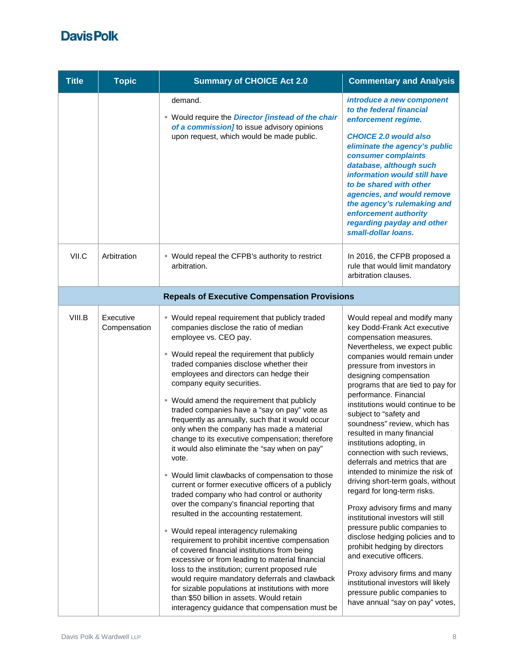| <b>Title</b> | <b>Topic</b>              | <b>Summary of CHOICE Act 2.0</b>                                                                                                                                                                                                                                                                                                                                                                                                                                                                                                                                                                                                                                                                                                                                                                                                                                                                                                                                                                                                                                                                                                                                                                                                                                                                             | <b>Commentary and Analysis</b>                                                                                                                                                                                                                                                                                                                                                                                                                                                                                                                                                                                                                                                                                                                                                                                                                                                                                                                                         |
|--------------|---------------------------|--------------------------------------------------------------------------------------------------------------------------------------------------------------------------------------------------------------------------------------------------------------------------------------------------------------------------------------------------------------------------------------------------------------------------------------------------------------------------------------------------------------------------------------------------------------------------------------------------------------------------------------------------------------------------------------------------------------------------------------------------------------------------------------------------------------------------------------------------------------------------------------------------------------------------------------------------------------------------------------------------------------------------------------------------------------------------------------------------------------------------------------------------------------------------------------------------------------------------------------------------------------------------------------------------------------|------------------------------------------------------------------------------------------------------------------------------------------------------------------------------------------------------------------------------------------------------------------------------------------------------------------------------------------------------------------------------------------------------------------------------------------------------------------------------------------------------------------------------------------------------------------------------------------------------------------------------------------------------------------------------------------------------------------------------------------------------------------------------------------------------------------------------------------------------------------------------------------------------------------------------------------------------------------------|
|              |                           | demand.<br>" Would require the <i>Director [instead of the chair</i><br>of a commission] to issue advisory opinions<br>upon request, which would be made public.                                                                                                                                                                                                                                                                                                                                                                                                                                                                                                                                                                                                                                                                                                                                                                                                                                                                                                                                                                                                                                                                                                                                             | introduce a new component<br>to the federal financial<br>enforcement regime.<br><b>CHOICE 2.0 would also</b><br>eliminate the agency's public<br>consumer complaints<br>database, although such<br>information would still have<br>to be shared with other<br>agencies, and would remove<br>the agency's rulemaking and<br>enforcement authority<br>regarding payday and other<br>small-dollar loans.                                                                                                                                                                                                                                                                                                                                                                                                                                                                                                                                                                  |
| VII.C        | Arbitration               | " Would repeal the CFPB's authority to restrict<br>arbitration.                                                                                                                                                                                                                                                                                                                                                                                                                                                                                                                                                                                                                                                                                                                                                                                                                                                                                                                                                                                                                                                                                                                                                                                                                                              | In 2016, the CFPB proposed a<br>rule that would limit mandatory<br>arbitration clauses.                                                                                                                                                                                                                                                                                                                                                                                                                                                                                                                                                                                                                                                                                                                                                                                                                                                                                |
|              |                           | <b>Repeals of Executive Compensation Provisions</b>                                                                                                                                                                                                                                                                                                                                                                                                                                                                                                                                                                                                                                                                                                                                                                                                                                                                                                                                                                                                                                                                                                                                                                                                                                                          |                                                                                                                                                                                                                                                                                                                                                                                                                                                                                                                                                                                                                                                                                                                                                                                                                                                                                                                                                                        |
| VIII.B       | Executive<br>Compensation | • Would repeal requirement that publicly traded<br>companies disclose the ratio of median<br>employee vs. CEO pay.<br>• Would repeal the requirement that publicly<br>traded companies disclose whether their<br>employees and directors can hedge their<br>company equity securities.<br>" Would amend the requirement that publicly<br>traded companies have a "say on pay" vote as<br>frequently as annually, such that it would occur<br>only when the company has made a material<br>change to its executive compensation; therefore<br>it would also eliminate the "say when on pay"<br>vote.<br>■ Would limit clawbacks of compensation to those<br>current or former executive officers of a publicly<br>traded company who had control or authority<br>over the company's financial reporting that<br>resulted in the accounting restatement.<br>■ Would repeal interagency rulemaking<br>requirement to prohibit incentive compensation<br>of covered financial institutions from being<br>excessive or from leading to material financial<br>loss to the institution; current proposed rule<br>would require mandatory deferrals and clawback<br>for sizable populations at institutions with more<br>than \$50 billion in assets. Would retain<br>interagency guidance that compensation must be | Would repeal and modify many<br>key Dodd-Frank Act executive<br>compensation measures.<br>Nevertheless, we expect public<br>companies would remain under<br>pressure from investors in<br>designing compensation<br>programs that are tied to pay for<br>performance. Financial<br>institutions would continue to be<br>subject to "safety and<br>soundness" review, which has<br>resulted in many financial<br>institutions adopting, in<br>connection with such reviews,<br>deferrals and metrics that are<br>intended to minimize the risk of<br>driving short-term goals, without<br>regard for long-term risks.<br>Proxy advisory firms and many<br>institutional investors will still<br>pressure public companies to<br>disclose hedging policies and to<br>prohibit hedging by directors<br>and executive officers.<br>Proxy advisory firms and many<br>institutional investors will likely<br>pressure public companies to<br>have annual "say on pay" votes, |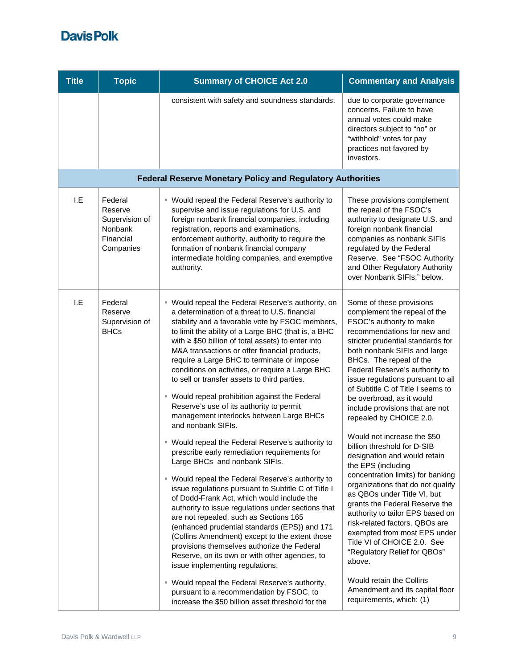| <b>Title</b> | <b>Topic</b>                                                              | <b>Summary of CHOICE Act 2.0</b>                                                                                                                                                                                                                                                                                                                                                                                                                                                                                                                                                                                                                                                                                                                                                                                                                                                                                                                                                                                                                                                                                                                                                                                                                                                                                                                                                                                                       | <b>Commentary and Analysis</b>                                                                                                                                                                                                                                                                                                                                                                                                                                                                                                                                                                                                                                                                                                                                                                                                                                                                                                                                      |
|--------------|---------------------------------------------------------------------------|----------------------------------------------------------------------------------------------------------------------------------------------------------------------------------------------------------------------------------------------------------------------------------------------------------------------------------------------------------------------------------------------------------------------------------------------------------------------------------------------------------------------------------------------------------------------------------------------------------------------------------------------------------------------------------------------------------------------------------------------------------------------------------------------------------------------------------------------------------------------------------------------------------------------------------------------------------------------------------------------------------------------------------------------------------------------------------------------------------------------------------------------------------------------------------------------------------------------------------------------------------------------------------------------------------------------------------------------------------------------------------------------------------------------------------------|---------------------------------------------------------------------------------------------------------------------------------------------------------------------------------------------------------------------------------------------------------------------------------------------------------------------------------------------------------------------------------------------------------------------------------------------------------------------------------------------------------------------------------------------------------------------------------------------------------------------------------------------------------------------------------------------------------------------------------------------------------------------------------------------------------------------------------------------------------------------------------------------------------------------------------------------------------------------|
|              |                                                                           | consistent with safety and soundness standards.                                                                                                                                                                                                                                                                                                                                                                                                                                                                                                                                                                                                                                                                                                                                                                                                                                                                                                                                                                                                                                                                                                                                                                                                                                                                                                                                                                                        | due to corporate governance<br>concerns. Failure to have<br>annual votes could make<br>directors subject to "no" or<br>"withhold" votes for pay<br>practices not favored by<br>investors.                                                                                                                                                                                                                                                                                                                                                                                                                                                                                                                                                                                                                                                                                                                                                                           |
|              |                                                                           | <b>Federal Reserve Monetary Policy and Regulatory Authorities</b>                                                                                                                                                                                                                                                                                                                                                                                                                                                                                                                                                                                                                                                                                                                                                                                                                                                                                                                                                                                                                                                                                                                                                                                                                                                                                                                                                                      |                                                                                                                                                                                                                                                                                                                                                                                                                                                                                                                                                                                                                                                                                                                                                                                                                                                                                                                                                                     |
| I.E          | Federal<br>Reserve<br>Supervision of<br>Nonbank<br>Financial<br>Companies | " Would repeal the Federal Reserve's authority to<br>supervise and issue regulations for U.S. and<br>foreign nonbank financial companies, including<br>registration, reports and examinations,<br>enforcement authority, authority to require the<br>formation of nonbank financial company<br>intermediate holding companies, and exemptive<br>authority.                                                                                                                                                                                                                                                                                                                                                                                                                                                                                                                                                                                                                                                                                                                                                                                                                                                                                                                                                                                                                                                                             | These provisions complement<br>the repeal of the FSOC's<br>authority to designate U.S. and<br>foreign nonbank financial<br>companies as nonbank SIFIs<br>regulated by the Federal<br>Reserve. See "FSOC Authority<br>and Other Regulatory Authority<br>over Nonbank SIFIs," below.                                                                                                                                                                                                                                                                                                                                                                                                                                                                                                                                                                                                                                                                                  |
| I.E          | Federal<br>Reserve<br>Supervision of<br><b>BHCs</b>                       | " Would repeal the Federal Reserve's authority, on<br>a determination of a threat to U.S. financial<br>stability and a favorable vote by FSOC members,<br>to limit the ability of a Large BHC (that is, a BHC<br>with $\geq$ \$50 billion of total assets) to enter into<br>M&A transactions or offer financial products,<br>require a Large BHC to terminate or impose<br>conditions on activities, or require a Large BHC<br>to sell or transfer assets to third parties.<br>• Would repeal prohibition against the Federal<br>Reserve's use of its authority to permit<br>management interlocks between Large BHCs<br>and nonbank SIFIs.<br>" Would repeal the Federal Reserve's authority to<br>prescribe early remediation requirements for<br>Large BHCs and nonbank SIFIs.<br>" Would repeal the Federal Reserve's authority to<br>issue regulations pursuant to Subtitle C of Title I<br>of Dodd-Frank Act, which would include the<br>authority to issue regulations under sections that<br>are not repealed, such as Sections 165<br>(enhanced prudential standards (EPS)) and 171<br>(Collins Amendment) except to the extent those<br>provisions themselves authorize the Federal<br>Reserve, on its own or with other agencies, to<br>issue implementing regulations.<br>" Would repeal the Federal Reserve's authority,<br>pursuant to a recommendation by FSOC, to<br>increase the \$50 billion asset threshold for the | Some of these provisions<br>complement the repeal of the<br>FSOC's authority to make<br>recommendations for new and<br>stricter prudential standards for<br>both nonbank SIFIs and large<br>BHCs. The repeal of the<br>Federal Reserve's authority to<br>issue regulations pursuant to all<br>of Subtitle C of Title I seems to<br>be overbroad, as it would<br>include provisions that are not<br>repealed by CHOICE 2.0.<br>Would not increase the \$50<br>billion threshold for D-SIB<br>designation and would retain<br>the EPS (including<br>concentration limits) for banking<br>organizations that do not qualify<br>as QBOs under Title VI, but<br>grants the Federal Reserve the<br>authority to tailor EPS based on<br>risk-related factors. QBOs are<br>exempted from most EPS under<br>Title VI of CHOICE 2.0. See<br>"Regulatory Relief for QBOs"<br>above.<br>Would retain the Collins<br>Amendment and its capital floor<br>requirements, which: (1) |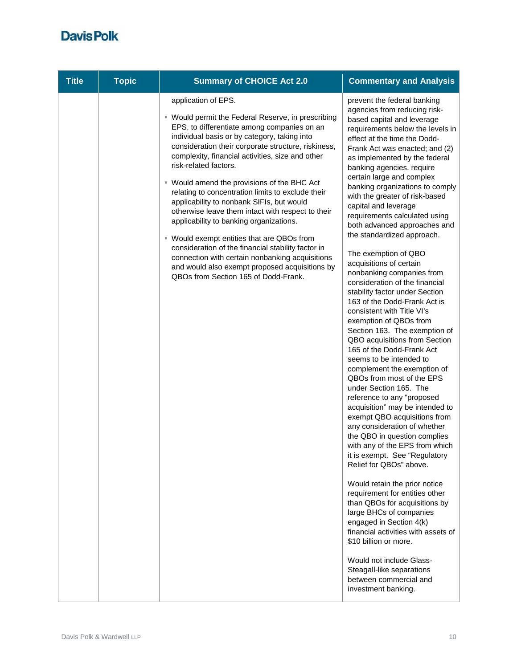| <b>Title</b> | <b>Topic</b> | <b>Summary of CHOICE Act 2.0</b>                                                                                                                                                                                                                                                                                                                                                                                                                                                                                                                                                                                                                                                                                                                                                                               | <b>Commentary and Analysis</b>                                                                                                                                                                                                                                                                                                                                                                                                                                                                                                                                                                                                                                                                                                                                                                                                                                                                                                                                                                                                                                                                                                                                                                                                                                                                                                                                                                                                                                                                                                                        |
|--------------|--------------|----------------------------------------------------------------------------------------------------------------------------------------------------------------------------------------------------------------------------------------------------------------------------------------------------------------------------------------------------------------------------------------------------------------------------------------------------------------------------------------------------------------------------------------------------------------------------------------------------------------------------------------------------------------------------------------------------------------------------------------------------------------------------------------------------------------|-------------------------------------------------------------------------------------------------------------------------------------------------------------------------------------------------------------------------------------------------------------------------------------------------------------------------------------------------------------------------------------------------------------------------------------------------------------------------------------------------------------------------------------------------------------------------------------------------------------------------------------------------------------------------------------------------------------------------------------------------------------------------------------------------------------------------------------------------------------------------------------------------------------------------------------------------------------------------------------------------------------------------------------------------------------------------------------------------------------------------------------------------------------------------------------------------------------------------------------------------------------------------------------------------------------------------------------------------------------------------------------------------------------------------------------------------------------------------------------------------------------------------------------------------------|
|              |              | application of EPS.<br>■ Would permit the Federal Reserve, in prescribing<br>EPS, to differentiate among companies on an<br>individual basis or by category, taking into<br>consideration their corporate structure, riskiness,<br>complexity, financial activities, size and other<br>risk-related factors.<br>■ Would amend the provisions of the BHC Act<br>relating to concentration limits to exclude their<br>applicability to nonbank SIFIs, but would<br>otherwise leave them intact with respect to their<br>applicability to banking organizations.<br>■ Would exempt entities that are QBOs from<br>consideration of the financial stability factor in<br>connection with certain nonbanking acquisitions<br>and would also exempt proposed acquisitions by<br>QBOs from Section 165 of Dodd-Frank. | prevent the federal banking<br>agencies from reducing risk-<br>based capital and leverage<br>requirements below the levels in<br>effect at the time the Dodd-<br>Frank Act was enacted; and (2)<br>as implemented by the federal<br>banking agencies, require<br>certain large and complex<br>banking organizations to comply<br>with the greater of risk-based<br>capital and leverage<br>requirements calculated using<br>both advanced approaches and<br>the standardized approach.<br>The exemption of QBO<br>acquisitions of certain<br>nonbanking companies from<br>consideration of the financial<br>stability factor under Section<br>163 of the Dodd-Frank Act is<br>consistent with Title VI's<br>exemption of QBOs from<br>Section 163. The exemption of<br>QBO acquisitions from Section<br>165 of the Dodd-Frank Act<br>seems to be intended to<br>complement the exemption of<br>QBOs from most of the EPS<br>under Section 165. The<br>reference to any "proposed<br>acquisition" may be intended to<br>exempt QBO acquisitions from<br>any consideration of whether<br>the QBO in question complies<br>with any of the EPS from which<br>it is exempt. See "Regulatory<br>Relief for QBOs" above.<br>Would retain the prior notice<br>requirement for entities other<br>than QBOs for acquisitions by<br>large BHCs of companies<br>engaged in Section 4(k)<br>financial activities with assets of<br>\$10 billion or more.<br>Would not include Glass-<br>Steagall-like separations<br>between commercial and<br>investment banking. |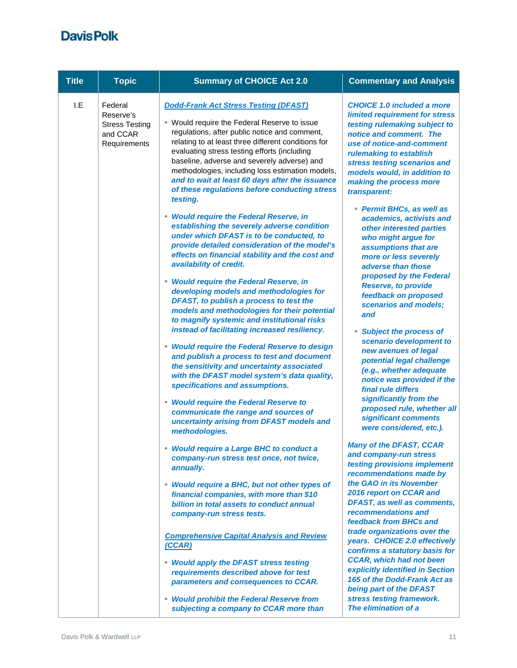| <b>Title</b>                                                                                                                                                                         | <b>Topic</b>                                                                                                                                                                                                                | <b>Summary of CHOICE Act 2.0</b>                                                                                                                                                                                                                                                                                                                                                                                                                                        | <b>Commentary and Analysis</b>                                                                                                                                                                                                                                                                     |                                                                                                                          |
|--------------------------------------------------------------------------------------------------------------------------------------------------------------------------------------|-----------------------------------------------------------------------------------------------------------------------------------------------------------------------------------------------------------------------------|-------------------------------------------------------------------------------------------------------------------------------------------------------------------------------------------------------------------------------------------------------------------------------------------------------------------------------------------------------------------------------------------------------------------------------------------------------------------------|----------------------------------------------------------------------------------------------------------------------------------------------------------------------------------------------------------------------------------------------------------------------------------------------------|--------------------------------------------------------------------------------------------------------------------------|
| I.E                                                                                                                                                                                  | Federal<br>Reserve's<br><b>Stress Testing</b><br>and CCAR<br>Requirements                                                                                                                                                   | <b>Dodd-Frank Act Stress Testing (DFAST)</b><br>■ Would require the Federal Reserve to issue<br>regulations, after public notice and comment,<br>relating to at least three different conditions for<br>evaluating stress testing efforts (including<br>baseline, adverse and severely adverse) and<br>methodologies, including loss estimation models,<br>and to wait at least 60 days after the issuance<br>of these regulations before conducting stress<br>testing. | <b>CHOICE 1.0 included a more</b><br>limited requirement for stress<br>testing rulemaking subject to<br>notice and comment. The<br>use of notice-and-comment<br>rulemaking to establish<br>stress testing scenarios and<br>models would, in addition to<br>making the process more<br>transparent: |                                                                                                                          |
| availability of credit.<br>methodologies.<br>annually.<br>company-run stress tests.<br>(CCAR)<br>• Would apply the DFAST stress testing<br>• Would prohibit the Federal Reserve from |                                                                                                                                                                                                                             | • Would require the Federal Reserve, in<br>establishing the severely adverse condition<br>under which DFAST is to be conducted, to<br>provide detailed consideration of the model's<br>effects on financial stability and the cost and                                                                                                                                                                                                                                  | Permit BHCs, as well as<br>academics, activists and<br>other interested parties<br>who might argue for<br>assumptions that are<br>more or less severely<br>adverse than those                                                                                                                      |                                                                                                                          |
|                                                                                                                                                                                      |                                                                                                                                                                                                                             | • Would require the Federal Reserve, in<br>developing models and methodologies for<br>DFAST, to publish a process to test the<br>models and methodologies for their potential<br>to magnify systemic and institutional risks<br>instead of facilitating increased resiliency.                                                                                                                                                                                           | proposed by the Federal<br><b>Reserve, to provide</b><br>feedback on proposed<br>scenarios and models;<br>and<br>π.<br><b>Subject the process of</b>                                                                                                                                               |                                                                                                                          |
|                                                                                                                                                                                      | • Would require the Federal Reserve to design<br>and publish a process to test and document<br>the sensitivity and uncertainty associated<br>with the DFAST model system's data quality,<br>specifications and assumptions. | scenario development to<br>new avenues of legal<br>potential legal challenge<br>(e.g., whether adequate<br>notice was provided if the<br>final rule differs                                                                                                                                                                                                                                                                                                             |                                                                                                                                                                                                                                                                                                    |                                                                                                                          |
|                                                                                                                                                                                      |                                                                                                                                                                                                                             | • Would require the Federal Reserve to<br>communicate the range and sources of<br>uncertainty arising from DFAST models and                                                                                                                                                                                                                                                                                                                                             | significantly from the<br>proposed rule, whether all<br>significant comments<br>were considered, etc.).                                                                                                                                                                                            |                                                                                                                          |
|                                                                                                                                                                                      |                                                                                                                                                                                                                             | • Would require a Large BHC to conduct a<br>company-run stress test once, not twice,                                                                                                                                                                                                                                                                                                                                                                                    | <b>Many of the DFAST, CCAR</b><br>and company-run stress<br>testing provisions implement<br>recommendations made by                                                                                                                                                                                |                                                                                                                          |
|                                                                                                                                                                                      |                                                                                                                                                                                                                             | • Would require a BHC, but not other types of<br>financial companies, with more than \$10<br>billion in total assets to conduct annual                                                                                                                                                                                                                                                                                                                                  | the GAO in its November<br>2016 report on CCAR and<br>DFAST, as well as comments,<br>recommendations and<br>feedback from BHCs and                                                                                                                                                                 |                                                                                                                          |
|                                                                                                                                                                                      |                                                                                                                                                                                                                             | <b>Comprehensive Capital Analysis and Review</b>                                                                                                                                                                                                                                                                                                                                                                                                                        | trade organizations over the<br>years. CHOICE 2.0 effectively<br>confirms a statutory basis for<br><b>CCAR, which had not been</b>                                                                                                                                                                 |                                                                                                                          |
|                                                                                                                                                                                      |                                                                                                                                                                                                                             |                                                                                                                                                                                                                                                                                                                                                                                                                                                                         | requirements described above for test<br>parameters and consequences to CCAR.                                                                                                                                                                                                                      | explicitly identified in Section<br>165 of the Dodd-Frank Act as<br>being part of the DFAST<br>stress testing framework. |
|                                                                                                                                                                                      |                                                                                                                                                                                                                             | subjecting a company to CCAR more than                                                                                                                                                                                                                                                                                                                                                                                                                                  | The elimination of a                                                                                                                                                                                                                                                                               |                                                                                                                          |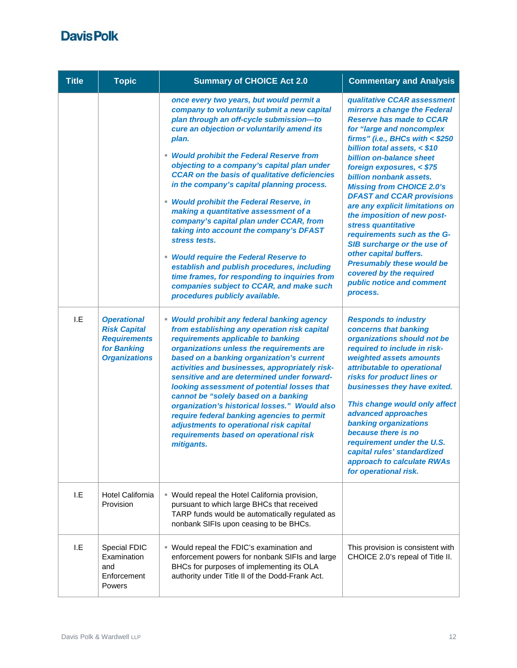| <b>Title</b> | <b>Topic</b>                                                                                            | <b>Summary of CHOICE Act 2.0</b>                                                                                                                                                                                                                                                                                                                                                                                                                                                                                                                                                                                                                                                                                                                                                                                     | <b>Commentary and Analysis</b>                                                                                                                                                                                                                                                                                                                                                                                                                                                                                                                                                                                                                                  |
|--------------|---------------------------------------------------------------------------------------------------------|----------------------------------------------------------------------------------------------------------------------------------------------------------------------------------------------------------------------------------------------------------------------------------------------------------------------------------------------------------------------------------------------------------------------------------------------------------------------------------------------------------------------------------------------------------------------------------------------------------------------------------------------------------------------------------------------------------------------------------------------------------------------------------------------------------------------|-----------------------------------------------------------------------------------------------------------------------------------------------------------------------------------------------------------------------------------------------------------------------------------------------------------------------------------------------------------------------------------------------------------------------------------------------------------------------------------------------------------------------------------------------------------------------------------------------------------------------------------------------------------------|
|              |                                                                                                         | once every two years, but would permit a<br>company to voluntarily submit a new capital<br>plan through an off-cycle submission-to<br>cure an objection or voluntarily amend its<br>plan.<br>• Would prohibit the Federal Reserve from<br>objecting to a company's capital plan under<br><b>CCAR on the basis of qualitative deficiencies</b><br>in the company's capital planning process.<br><b>Would prohibit the Federal Reserve, in</b><br>making a quantitative assessment of a<br>company's capital plan under CCAR, from<br>taking into account the company's DFAST<br>stress tests.<br>• Would require the Federal Reserve to<br>establish and publish procedures, including<br>time frames, for responding to inquiries from<br>companies subject to CCAR, and make such<br>procedures publicly available. | qualitative CCAR assessment<br>mirrors a change the Federal<br><b>Reserve has made to CCAR</b><br>for "large and noncomplex<br>firms" (i.e., BHCs with $<$ \$250<br>billion total assets, $< $10$<br><b>billion on-balance sheet</b><br>foreign exposures, $<$ \$75<br>billion nonbank assets.<br><b>Missing from CHOICE 2.0's</b><br><b>DFAST and CCAR provisions</b><br>are any explicit limitations on<br>the imposition of new post-<br>stress quantitative<br>requirements such as the G-<br>SIB surcharge or the use of<br>other capital buffers.<br><b>Presumably these would be</b><br>covered by the required<br>public notice and comment<br>process. |
| I.E          | <b>Operational</b><br><b>Risk Capital</b><br><b>Requirements</b><br>for Banking<br><b>Organizations</b> | • Would prohibit any federal banking agency<br>from establishing any operation risk capital<br>requirements applicable to banking<br>organizations unless the requirements are<br>based on a banking organization's current<br>activities and businesses, appropriately risk-<br>sensitive and are determined under forward-<br>looking assessment of potential losses that<br>cannot be "solely based on a banking<br>organization's historical losses." Would also<br>require federal banking agencies to permit<br>adjustments to operational risk capital<br>requirements based on operational risk<br>mitigants.                                                                                                                                                                                                | <b>Responds to industry</b><br>concerns that banking<br>organizations should not be<br>required to include in risk-<br>weighted assets amounts<br>attributable to operational<br>risks for product lines or<br>businesses they have exited.<br>This change would only affect<br>advanced approaches<br>banking organizations<br>because there is no<br>requirement under the U.S.<br>capital rules' standardized<br>approach to calculate RWAs<br>for operational risk.                                                                                                                                                                                         |
| I.E          | <b>Hotel California</b><br>Provision                                                                    | " Would repeal the Hotel California provision,<br>pursuant to which large BHCs that received<br>TARP funds would be automatically regulated as<br>nonbank SIFIs upon ceasing to be BHCs.                                                                                                                                                                                                                                                                                                                                                                                                                                                                                                                                                                                                                             |                                                                                                                                                                                                                                                                                                                                                                                                                                                                                                                                                                                                                                                                 |
| I.E          | Special FDIC<br>Examination<br>and<br>Enforcement<br>Powers                                             | " Would repeal the FDIC's examination and<br>enforcement powers for nonbank SIFIs and large<br>BHCs for purposes of implementing its OLA<br>authority under Title II of the Dodd-Frank Act.                                                                                                                                                                                                                                                                                                                                                                                                                                                                                                                                                                                                                          | This provision is consistent with<br>CHOICE 2.0's repeal of Title II.                                                                                                                                                                                                                                                                                                                                                                                                                                                                                                                                                                                           |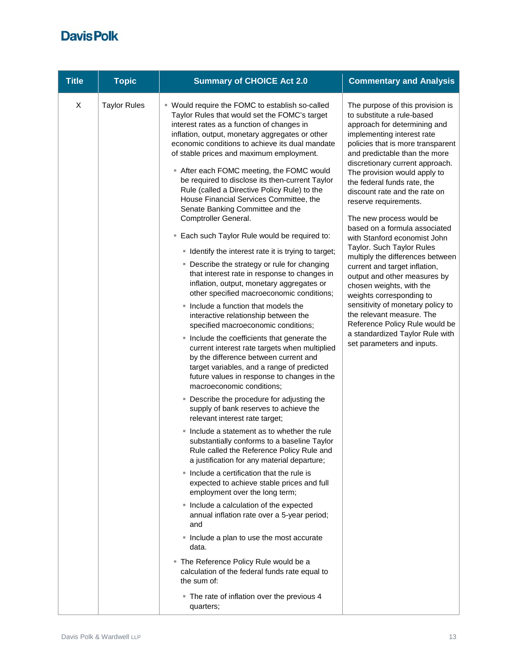| <b>Title</b> | <b>Topic</b>        | <b>Summary of CHOICE Act 2.0</b>                                                                                                                                                                                                                                                                                                                                                                                                                                                                                                                                                                                                                                                                                                                                                                                                                                                                                                                                                                                                                                                                                                                                                                                                                                                                                                                                                                                                                                                                                                                                                                                                                                                                                                                                                                                                                                                                                                                                           | <b>Commentary and Analysis</b>                                                                                                                                                                                                                                                                                                                                                                                                                                                                                                                                                                                                                                                                                                                                                                                             |
|--------------|---------------------|----------------------------------------------------------------------------------------------------------------------------------------------------------------------------------------------------------------------------------------------------------------------------------------------------------------------------------------------------------------------------------------------------------------------------------------------------------------------------------------------------------------------------------------------------------------------------------------------------------------------------------------------------------------------------------------------------------------------------------------------------------------------------------------------------------------------------------------------------------------------------------------------------------------------------------------------------------------------------------------------------------------------------------------------------------------------------------------------------------------------------------------------------------------------------------------------------------------------------------------------------------------------------------------------------------------------------------------------------------------------------------------------------------------------------------------------------------------------------------------------------------------------------------------------------------------------------------------------------------------------------------------------------------------------------------------------------------------------------------------------------------------------------------------------------------------------------------------------------------------------------------------------------------------------------------------------------------------------------|----------------------------------------------------------------------------------------------------------------------------------------------------------------------------------------------------------------------------------------------------------------------------------------------------------------------------------------------------------------------------------------------------------------------------------------------------------------------------------------------------------------------------------------------------------------------------------------------------------------------------------------------------------------------------------------------------------------------------------------------------------------------------------------------------------------------------|
| X            | <b>Taylor Rules</b> | ■ Would require the FOMC to establish so-called<br>Taylor Rules that would set the FOMC's target<br>interest rates as a function of changes in<br>inflation, output, monetary aggregates or other<br>economic conditions to achieve its dual mandate<br>of stable prices and maximum employment.<br>■ After each FOMC meeting, the FOMC would<br>be required to disclose its then-current Taylor<br>Rule (called a Directive Policy Rule) to the<br>House Financial Services Committee, the<br>Senate Banking Committee and the<br>Comptroller General.<br>. Each such Taylor Rule would be required to:<br>" Identify the interest rate it is trying to target;<br>• Describe the strategy or rule for changing<br>that interest rate in response to changes in<br>inflation, output, monetary aggregates or<br>other specified macroeconomic conditions;<br>. Include a function that models the<br>interactive relationship between the<br>specified macroeconomic conditions;<br>• Include the coefficients that generate the<br>current interest rate targets when multiplied<br>by the difference between current and<br>target variables, and a range of predicted<br>future values in response to changes in the<br>macroeconomic conditions;<br>• Describe the procedure for adjusting the<br>supply of bank reserves to achieve the<br>relevant interest rate target;<br>• Include a statement as to whether the rule<br>substantially conforms to a baseline Taylor<br>Rule called the Reference Policy Rule and<br>a justification for any material departure;<br>• Include a certification that the rule is<br>expected to achieve stable prices and full<br>employment over the long term;<br>• Include a calculation of the expected<br>annual inflation rate over a 5-year period;<br>and<br>• Include a plan to use the most accurate<br>data.<br>" The Reference Policy Rule would be a<br>calculation of the federal funds rate equal to<br>the sum of: | The purpose of this provision is<br>to substitute a rule-based<br>approach for determining and<br>implementing interest rate<br>policies that is more transparent<br>and predictable than the more<br>discretionary current approach.<br>The provision would apply to<br>the federal funds rate, the<br>discount rate and the rate on<br>reserve requirements.<br>The new process would be<br>based on a formula associated<br>with Stanford economist John<br>Taylor. Such Taylor Rules<br>multiply the differences between<br>current and target inflation,<br>output and other measures by<br>chosen weights, with the<br>weights corresponding to<br>sensitivity of monetary policy to<br>the relevant measure. The<br>Reference Policy Rule would be<br>a standardized Taylor Rule with<br>set parameters and inputs. |
|              |                     | • The rate of inflation over the previous 4<br>quarters;                                                                                                                                                                                                                                                                                                                                                                                                                                                                                                                                                                                                                                                                                                                                                                                                                                                                                                                                                                                                                                                                                                                                                                                                                                                                                                                                                                                                                                                                                                                                                                                                                                                                                                                                                                                                                                                                                                                   |                                                                                                                                                                                                                                                                                                                                                                                                                                                                                                                                                                                                                                                                                                                                                                                                                            |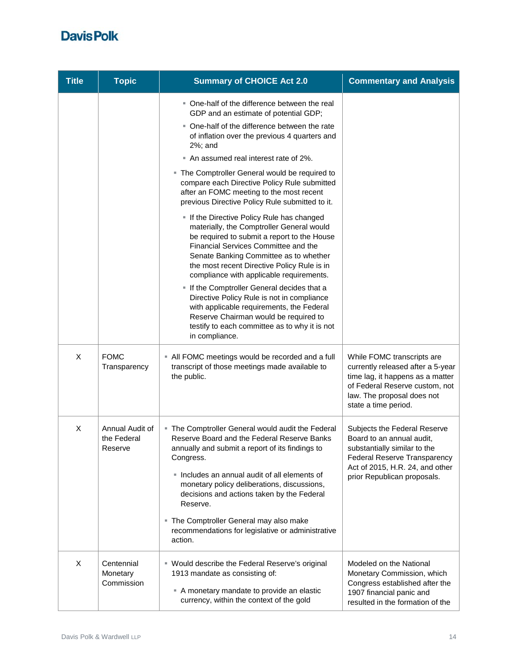| <b>Title</b> | <b>Topic</b>                              | <b>Summary of CHOICE Act 2.0</b>                                                                                                                                                                                                                                                                                                                                                                                                                                                                                                                                                                                                                                                                                                                                                                                                                                                                                                                                                                        | <b>Commentary and Analysis</b>                                                                                                                                                              |
|--------------|-------------------------------------------|---------------------------------------------------------------------------------------------------------------------------------------------------------------------------------------------------------------------------------------------------------------------------------------------------------------------------------------------------------------------------------------------------------------------------------------------------------------------------------------------------------------------------------------------------------------------------------------------------------------------------------------------------------------------------------------------------------------------------------------------------------------------------------------------------------------------------------------------------------------------------------------------------------------------------------------------------------------------------------------------------------|---------------------------------------------------------------------------------------------------------------------------------------------------------------------------------------------|
|              |                                           | • One-half of the difference between the real<br>GDP and an estimate of potential GDP;<br>• One-half of the difference between the rate<br>of inflation over the previous 4 quarters and<br>$2\%$ ; and<br>An assumed real interest rate of 2%.<br>• The Comptroller General would be required to<br>compare each Directive Policy Rule submitted<br>after an FOMC meeting to the most recent<br>previous Directive Policy Rule submitted to it.<br>If the Directive Policy Rule has changed<br>materially, the Comptroller General would<br>be required to submit a report to the House<br>Financial Services Committee and the<br>Senate Banking Committee as to whether<br>the most recent Directive Policy Rule is in<br>compliance with applicable requirements.<br>If the Comptroller General decides that a<br>Directive Policy Rule is not in compliance<br>with applicable requirements, the Federal<br>Reserve Chairman would be required to<br>testify to each committee as to why it is not |                                                                                                                                                                                             |
| X            | <b>FOMC</b><br>Transparency               | in compliance.<br>• All FOMC meetings would be recorded and a full<br>transcript of those meetings made available to<br>the public.                                                                                                                                                                                                                                                                                                                                                                                                                                                                                                                                                                                                                                                                                                                                                                                                                                                                     | While FOMC transcripts are<br>currently released after a 5-year<br>time lag, it happens as a matter<br>of Federal Reserve custom, not<br>law. The proposal does not<br>state a time period. |
| X            | Annual Audit of<br>the Federal<br>Reserve | • The Comptroller General would audit the Federal<br>Reserve Board and the Federal Reserve Banks<br>annually and submit a report of its findings to<br>Congress.<br>· Includes an annual audit of all elements of<br>monetary policy deliberations, discussions,<br>decisions and actions taken by the Federal<br>Reserve.<br>" The Comptroller General may also make<br>recommendations for legislative or administrative<br>action.                                                                                                                                                                                                                                                                                                                                                                                                                                                                                                                                                                   | Subjects the Federal Reserve<br>Board to an annual audit,<br>substantially similar to the<br>Federal Reserve Transparency<br>Act of 2015, H.R. 24, and other<br>prior Republican proposals. |
| X            | Centennial<br>Monetary<br>Commission      | ■ Would describe the Federal Reserve's original<br>1913 mandate as consisting of:<br>A monetary mandate to provide an elastic<br>currency, within the context of the gold                                                                                                                                                                                                                                                                                                                                                                                                                                                                                                                                                                                                                                                                                                                                                                                                                               | Modeled on the National<br>Monetary Commission, which<br>Congress established after the<br>1907 financial panic and<br>resulted in the formation of the                                     |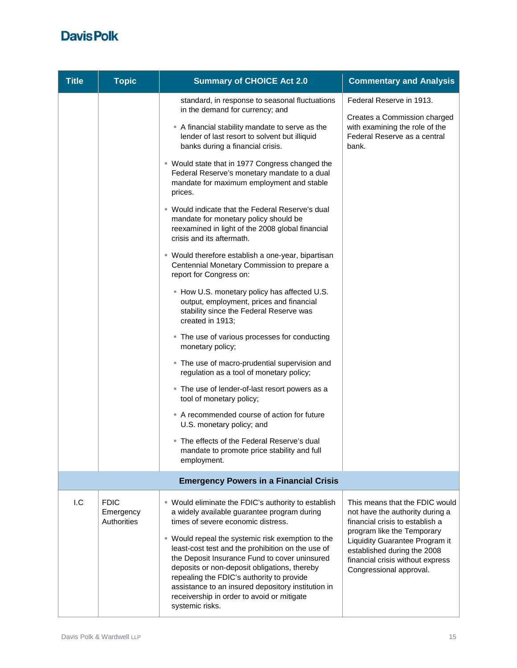| <b>Title</b> | <b>Topic</b>                            | <b>Summary of CHOICE Act 2.0</b>                                                                                                                                                                                                                                                                                                                                            | <b>Commentary and Analysis</b>                                                                                                     |
|--------------|-----------------------------------------|-----------------------------------------------------------------------------------------------------------------------------------------------------------------------------------------------------------------------------------------------------------------------------------------------------------------------------------------------------------------------------|------------------------------------------------------------------------------------------------------------------------------------|
|              |                                         | standard, in response to seasonal fluctuations<br>in the demand for currency; and                                                                                                                                                                                                                                                                                           | Federal Reserve in 1913.                                                                                                           |
|              |                                         | A financial stability mandate to serve as the<br>lender of last resort to solvent but illiquid<br>banks during a financial crisis.                                                                                                                                                                                                                                          | Creates a Commission charged<br>with examining the role of the<br>Federal Reserve as a central<br>bank.                            |
|              |                                         | ■ Would state that in 1977 Congress changed the<br>Federal Reserve's monetary mandate to a dual<br>mandate for maximum employment and stable<br>prices.                                                                                                                                                                                                                     |                                                                                                                                    |
|              |                                         | ■ Would indicate that the Federal Reserve's dual<br>mandate for monetary policy should be<br>reexamined in light of the 2008 global financial<br>crisis and its aftermath.                                                                                                                                                                                                  |                                                                                                                                    |
|              |                                         | • Would therefore establish a one-year, bipartisan<br>Centennial Monetary Commission to prepare a<br>report for Congress on:                                                                                                                                                                                                                                                |                                                                                                                                    |
|              |                                         | - How U.S. monetary policy has affected U.S.<br>output, employment, prices and financial<br>stability since the Federal Reserve was<br>created in 1913;                                                                                                                                                                                                                     |                                                                                                                                    |
|              |                                         | • The use of various processes for conducting<br>monetary policy;                                                                                                                                                                                                                                                                                                           |                                                                                                                                    |
|              |                                         | . The use of macro-prudential supervision and<br>regulation as a tool of monetary policy;                                                                                                                                                                                                                                                                                   |                                                                                                                                    |
|              |                                         | The use of lender-of-last resort powers as a<br>tool of monetary policy;                                                                                                                                                                                                                                                                                                    |                                                                                                                                    |
|              |                                         | A recommended course of action for future<br>U.S. monetary policy; and                                                                                                                                                                                                                                                                                                      |                                                                                                                                    |
|              |                                         | ■ The effects of the Federal Reserve's dual<br>mandate to promote price stability and full<br>employment.                                                                                                                                                                                                                                                                   |                                                                                                                                    |
|              |                                         | <b>Emergency Powers in a Financial Crisis</b>                                                                                                                                                                                                                                                                                                                               |                                                                                                                                    |
| I.C          | <b>FDIC</b><br>Emergency<br>Authorities | " Would eliminate the FDIC's authority to establish<br>a widely available guarantee program during<br>times of severe economic distress.                                                                                                                                                                                                                                    | This means that the FDIC would<br>not have the authority during a<br>financial crisis to establish a<br>program like the Temporary |
|              |                                         | ■ Would repeal the systemic risk exemption to the<br>least-cost test and the prohibition on the use of<br>the Deposit Insurance Fund to cover uninsured<br>deposits or non-deposit obligations, thereby<br>repealing the FDIC's authority to provide<br>assistance to an insured depository institution in<br>receivership in order to avoid or mitigate<br>systemic risks. | Liquidity Guarantee Program it<br>established during the 2008<br>financial crisis without express<br>Congressional approval.       |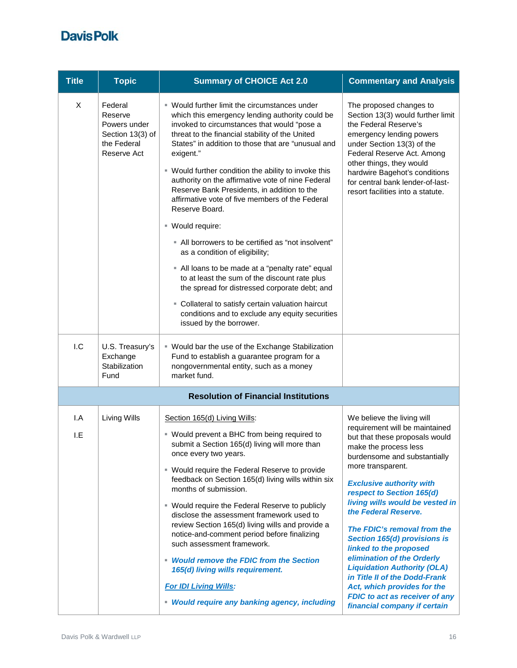| <b>Title</b> | <b>Topic</b>                                                                         | <b>Summary of CHOICE Act 2.0</b>                                                                                                                                                                                                                                                                                                                                                                                                                                                                                                                                                                                                                                                                                                                                                                                                                                                                            | <b>Commentary and Analysis</b>                                                                                                                                                                                                                                                                                                                                                                                                                                                                                                                                                                                |
|--------------|--------------------------------------------------------------------------------------|-------------------------------------------------------------------------------------------------------------------------------------------------------------------------------------------------------------------------------------------------------------------------------------------------------------------------------------------------------------------------------------------------------------------------------------------------------------------------------------------------------------------------------------------------------------------------------------------------------------------------------------------------------------------------------------------------------------------------------------------------------------------------------------------------------------------------------------------------------------------------------------------------------------|---------------------------------------------------------------------------------------------------------------------------------------------------------------------------------------------------------------------------------------------------------------------------------------------------------------------------------------------------------------------------------------------------------------------------------------------------------------------------------------------------------------------------------------------------------------------------------------------------------------|
| X            | Federal<br>Reserve<br>Powers under<br>Section 13(3) of<br>the Federal<br>Reserve Act | ■ Would further limit the circumstances under<br>which this emergency lending authority could be<br>invoked to circumstances that would "pose a<br>threat to the financial stability of the United<br>States" in addition to those that are "unusual and<br>exigent."<br>" Would further condition the ability to invoke this<br>authority on the affirmative vote of nine Federal<br>Reserve Bank Presidents, in addition to the<br>affirmative vote of five members of the Federal<br>Reserve Board.<br>■ Would require:<br>" All borrowers to be certified as "not insolvent"<br>as a condition of eligibility;<br>• All loans to be made at a "penalty rate" equal<br>to at least the sum of the discount rate plus<br>the spread for distressed corporate debt; and<br>• Collateral to satisfy certain valuation haircut<br>conditions and to exclude any equity securities<br>issued by the borrower. | The proposed changes to<br>Section 13(3) would further limit<br>the Federal Reserve's<br>emergency lending powers<br>under Section 13(3) of the<br>Federal Reserve Act. Among<br>other things, they would<br>hardwire Bagehot's conditions<br>for central bank lender-of-last-<br>resort facilities into a statute.                                                                                                                                                                                                                                                                                           |
| 1.C          | U.S. Treasury's<br>Exchange<br>Stabilization<br>Fund                                 | ■ Would bar the use of the Exchange Stabilization<br>Fund to establish a guarantee program for a<br>nongovernmental entity, such as a money<br>market fund.                                                                                                                                                                                                                                                                                                                                                                                                                                                                                                                                                                                                                                                                                                                                                 |                                                                                                                                                                                                                                                                                                                                                                                                                                                                                                                                                                                                               |
|              |                                                                                      | <b>Resolution of Financial Institutions</b>                                                                                                                                                                                                                                                                                                                                                                                                                                                                                                                                                                                                                                                                                                                                                                                                                                                                 |                                                                                                                                                                                                                                                                                                                                                                                                                                                                                                                                                                                                               |
| I.A<br>I.E   | Living Wills                                                                         | Section 165(d) Living Wills:<br>" Would prevent a BHC from being required to<br>submit a Section 165(d) living will more than<br>once every two years.<br>■ Would require the Federal Reserve to provide<br>feedback on Section 165(d) living wills within six<br>months of submission.<br>" Would require the Federal Reserve to publicly<br>disclose the assessment framework used to<br>review Section 165(d) living wills and provide a<br>notice-and-comment period before finalizing<br>such assessment framework.<br>• Would remove the FDIC from the Section<br>165(d) living wills requirement.<br><b>For IDI Living Wills:</b><br>• Would require any banking agency, including                                                                                                                                                                                                                   | We believe the living will<br>requirement will be maintained<br>but that these proposals would<br>make the process less<br>burdensome and substantially<br>more transparent.<br><b>Exclusive authority with</b><br>respect to Section 165(d)<br>living wills would be vested in<br>the Federal Reserve.<br>The FDIC's removal from the<br>Section 165(d) provisions is<br>linked to the proposed<br>elimination of the Orderly<br><b>Liquidation Authority (OLA)</b><br>in Title II of the Dodd-Frank<br>Act, which provides for the<br><b>FDIC to act as receiver of any</b><br>financial company if certain |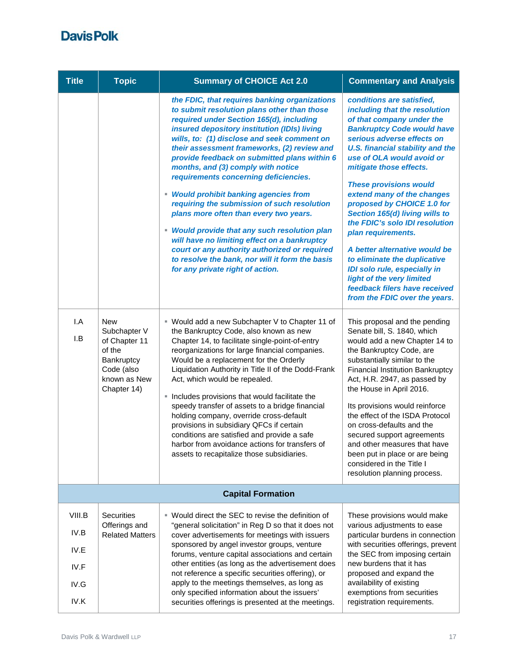| <b>Title</b> | <b>Topic</b>                                                                                                     | <b>Summary of CHOICE Act 2.0</b>                                                                                                                                                                                                                                                                                                                                                                                                                                                                                                                                                                                                                                                                                                                                                                       | <b>Commentary and Analysis</b>                                                                                                                                                                                                                                                                                                                                                                                                                                                                                                                                                                                                                       |
|--------------|------------------------------------------------------------------------------------------------------------------|--------------------------------------------------------------------------------------------------------------------------------------------------------------------------------------------------------------------------------------------------------------------------------------------------------------------------------------------------------------------------------------------------------------------------------------------------------------------------------------------------------------------------------------------------------------------------------------------------------------------------------------------------------------------------------------------------------------------------------------------------------------------------------------------------------|------------------------------------------------------------------------------------------------------------------------------------------------------------------------------------------------------------------------------------------------------------------------------------------------------------------------------------------------------------------------------------------------------------------------------------------------------------------------------------------------------------------------------------------------------------------------------------------------------------------------------------------------------|
|              |                                                                                                                  | the FDIC, that requires banking organizations<br>to submit resolution plans other than those<br>required under Section 165(d), including<br>insured depository institution (IDIs) living<br>wills, to: (1) disclose and seek comment on<br>their assessment frameworks, (2) review and<br>provide feedback on submitted plans within 6<br>months, and (3) comply with notice<br>requirements concerning deficiencies.<br>• Would prohibit banking agencies from<br>requiring the submission of such resolution<br>plans more often than every two years.<br><b>Would provide that any such resolution plan</b><br>will have no limiting effect on a bankruptcy<br>court or any authority authorized or required<br>to resolve the bank, nor will it form the basis<br>for any private right of action. | conditions are satisfied,<br>including that the resolution<br>of that company under the<br><b>Bankruptcy Code would have</b><br>serious adverse effects on<br><b>U.S. financial stability and the</b><br>use of OLA would avoid or<br>mitigate those effects.<br><b>These provisions would</b><br>extend many of the changes<br>proposed by CHOICE 1.0 for<br>Section 165(d) living wills to<br>the FDIC's solo IDI resolution<br>plan requirements.<br>A better alternative would be<br>to eliminate the duplicative<br>IDI solo rule, especially in<br>light of the very limited<br>feedback filers have received<br>from the FDIC over the years. |
| I.A<br>I.B   | <b>New</b><br>Subchapter V<br>of Chapter 11<br>of the<br>Bankruptcy<br>Code (also<br>known as New<br>Chapter 14) | ■ Would add a new Subchapter V to Chapter 11 of<br>the Bankruptcy Code, also known as new<br>Chapter 14, to facilitate single-point-of-entry<br>reorganizations for large financial companies.<br>Would be a replacement for the Orderly<br>Liquidation Authority in Title II of the Dodd-Frank<br>Act, which would be repealed.<br>Includes provisions that would facilitate the<br>I.<br>speedy transfer of assets to a bridge financial<br>holding company, override cross-default<br>provisions in subsidiary QFCs if certain<br>conditions are satisfied and provide a safe<br>harbor from avoidance actions for transfers of<br>assets to recapitalize those subsidiaries.                                                                                                                       | This proposal and the pending<br>Senate bill, S. 1840, which<br>would add a new Chapter 14 to<br>the Bankruptcy Code, are<br>substantially similar to the<br><b>Financial Institution Bankruptcy</b><br>Act, H.R. 2947, as passed by<br>the House in April 2016.<br>Its provisions would reinforce<br>the effect of the ISDA Protocol<br>on cross-defaults and the<br>secured support agreements<br>and other measures that have<br>been put in place or are being<br>considered in the Title I<br>resolution planning process.                                                                                                                      |
|              |                                                                                                                  | <b>Capital Formation</b>                                                                                                                                                                                                                                                                                                                                                                                                                                                                                                                                                                                                                                                                                                                                                                               |                                                                                                                                                                                                                                                                                                                                                                                                                                                                                                                                                                                                                                                      |
| VIII.B       | <b>Securities</b>                                                                                                | ■ Would direct the SEC to revise the definition of                                                                                                                                                                                                                                                                                                                                                                                                                                                                                                                                                                                                                                                                                                                                                     | These provisions would make                                                                                                                                                                                                                                                                                                                                                                                                                                                                                                                                                                                                                          |
| IV.B         | Offerings and<br><b>Related Matters</b>                                                                          | "general solicitation" in Reg D so that it does not<br>cover advertisements for meetings with issuers                                                                                                                                                                                                                                                                                                                                                                                                                                                                                                                                                                                                                                                                                                  | various adjustments to ease<br>particular burdens in connection                                                                                                                                                                                                                                                                                                                                                                                                                                                                                                                                                                                      |
| IV.E         |                                                                                                                  | sponsored by angel investor groups, venture<br>forums, venture capital associations and certain                                                                                                                                                                                                                                                                                                                                                                                                                                                                                                                                                                                                                                                                                                        | with securities offerings, prevent<br>the SEC from imposing certain                                                                                                                                                                                                                                                                                                                                                                                                                                                                                                                                                                                  |
| IV.F         |                                                                                                                  | other entities (as long as the advertisement does<br>not reference a specific securities offering), or                                                                                                                                                                                                                                                                                                                                                                                                                                                                                                                                                                                                                                                                                                 | new burdens that it has<br>proposed and expand the                                                                                                                                                                                                                                                                                                                                                                                                                                                                                                                                                                                                   |
| IV.G<br>IV.K |                                                                                                                  | apply to the meetings themselves, as long as<br>only specified information about the issuers'<br>securities offerings is presented at the meetings.                                                                                                                                                                                                                                                                                                                                                                                                                                                                                                                                                                                                                                                    | availability of existing<br>exemptions from securities<br>registration requirements.                                                                                                                                                                                                                                                                                                                                                                                                                                                                                                                                                                 |
|              |                                                                                                                  |                                                                                                                                                                                                                                                                                                                                                                                                                                                                                                                                                                                                                                                                                                                                                                                                        |                                                                                                                                                                                                                                                                                                                                                                                                                                                                                                                                                                                                                                                      |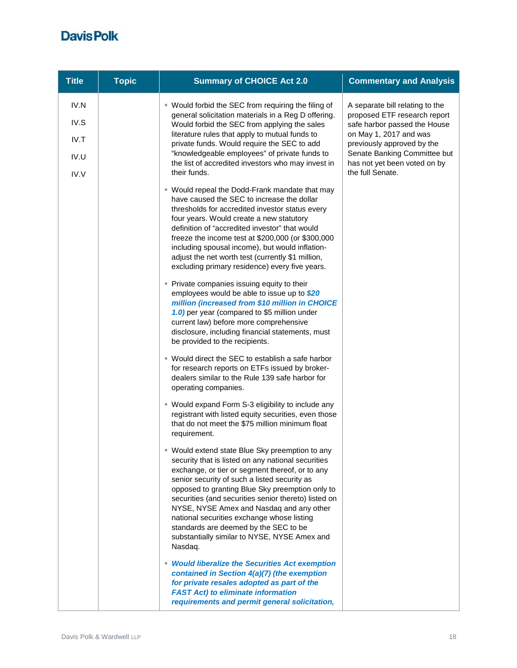| <b>Title</b>                         | <b>Topic</b> | <b>Summary of CHOICE Act 2.0</b>                                                                                                                                                                                                                                                                                                                                                                                                                                                                                | <b>Commentary and Analysis</b>                                                                                                                                                                                                              |
|--------------------------------------|--------------|-----------------------------------------------------------------------------------------------------------------------------------------------------------------------------------------------------------------------------------------------------------------------------------------------------------------------------------------------------------------------------------------------------------------------------------------------------------------------------------------------------------------|---------------------------------------------------------------------------------------------------------------------------------------------------------------------------------------------------------------------------------------------|
| IV.N<br>IV.S<br>IV.T<br>IV.U<br>IV.V |              | ■ Would forbid the SEC from requiring the filing of<br>general solicitation materials in a Reg D offering.<br>Would forbid the SEC from applying the sales<br>literature rules that apply to mutual funds to<br>private funds. Would require the SEC to add<br>"knowledgeable employees" of private funds to<br>the list of accredited investors who may invest in<br>their funds.                                                                                                                              | A separate bill relating to the<br>proposed ETF research report<br>safe harbor passed the House<br>on May 1, 2017 and was<br>previously approved by the<br>Senate Banking Committee but<br>has not yet been voted on by<br>the full Senate. |
|                                      |              | ■ Would repeal the Dodd-Frank mandate that may<br>have caused the SEC to increase the dollar<br>thresholds for accredited investor status every<br>four years. Would create a new statutory<br>definition of "accredited investor" that would<br>freeze the income test at \$200,000 (or \$300,000<br>including spousal income), but would inflation-<br>adjust the net worth test (currently \$1 million,<br>excluding primary residence) every five years.                                                    |                                                                                                                                                                                                                                             |
|                                      |              | • Private companies issuing equity to their<br>employees would be able to issue up to \$20<br>million (increased from \$10 million in CHOICE<br>1.0) per year (compared to \$5 million under<br>current law) before more comprehensive<br>disclosure, including financial statements, must<br>be provided to the recipients.                                                                                                                                                                                    |                                                                                                                                                                                                                                             |
|                                      |              | ■ Would direct the SEC to establish a safe harbor<br>for research reports on ETFs issued by broker-<br>dealers similar to the Rule 139 safe harbor for<br>operating companies.                                                                                                                                                                                                                                                                                                                                  |                                                                                                                                                                                                                                             |
|                                      |              | " Would expand Form S-3 eligibility to include any<br>registrant with listed equity securities, even those<br>that do not meet the \$75 million minimum float<br>requirement.                                                                                                                                                                                                                                                                                                                                   |                                                                                                                                                                                                                                             |
|                                      |              | Would extend state Blue Sky preemption to any<br>security that is listed on any national securities<br>exchange, or tier or segment thereof, or to any<br>senior security of such a listed security as<br>opposed to granting Blue Sky preemption only to<br>securities (and securities senior thereto) listed on<br>NYSE, NYSE Amex and Nasdaq and any other<br>national securities exchange whose listing<br>standards are deemed by the SEC to be<br>substantially similar to NYSE, NYSE Amex and<br>Nasdaq. |                                                                                                                                                                                                                                             |
|                                      |              | • Would liberalize the Securities Act exemption<br>contained in Section 4(a)(7) (the exemption<br>for private resales adopted as part of the<br><b>FAST Act) to eliminate information</b><br>requirements and permit general solicitation,                                                                                                                                                                                                                                                                      |                                                                                                                                                                                                                                             |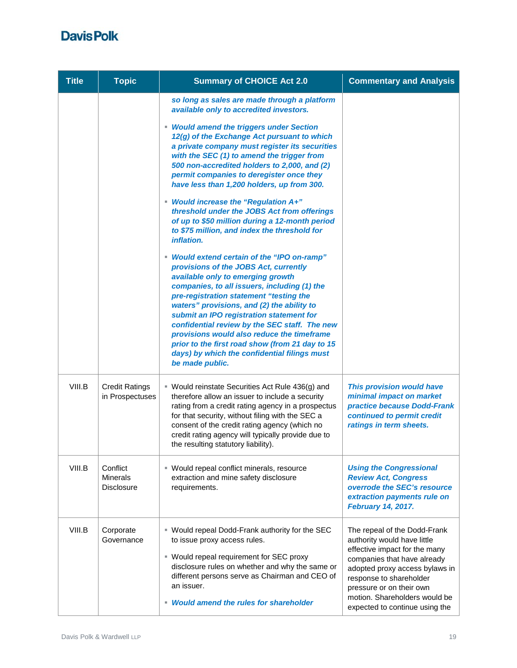| <b>Title</b> | <b>Topic</b>                                     | <b>Summary of CHOICE Act 2.0</b>                                                                                                                                                                                                                                                                                                                                                                                                                                                                                                                                                                                                                                                                                                                                                                                                                                                                                 | <b>Commentary and Analysis</b>                                                                                                                                                                                                                                                          |
|--------------|--------------------------------------------------|------------------------------------------------------------------------------------------------------------------------------------------------------------------------------------------------------------------------------------------------------------------------------------------------------------------------------------------------------------------------------------------------------------------------------------------------------------------------------------------------------------------------------------------------------------------------------------------------------------------------------------------------------------------------------------------------------------------------------------------------------------------------------------------------------------------------------------------------------------------------------------------------------------------|-----------------------------------------------------------------------------------------------------------------------------------------------------------------------------------------------------------------------------------------------------------------------------------------|
|              |                                                  | so long as sales are made through a platform<br>available only to accredited investors.<br>• Would amend the triggers under Section<br>12(g) of the Exchange Act pursuant to which<br>a private company must register its securities<br>with the SEC (1) to amend the trigger from<br>500 non-accredited holders to 2,000, and (2)<br>permit companies to deregister once they<br>have less than 1,200 holders, up from 300.<br>" Would increase the "Regulation A+"<br>threshold under the JOBS Act from offerings<br>of up to \$50 million during a 12-month period<br>to \$75 million, and index the threshold for<br><i>inflation.</i><br>" Would extend certain of the "IPO on-ramp"<br>provisions of the JOBS Act, currently<br>available only to emerging growth<br>companies, to all issuers, including (1) the<br>pre-registration statement "testing the<br>waters" provisions, and (2) the ability to |                                                                                                                                                                                                                                                                                         |
|              |                                                  | submit an IPO registration statement for<br>confidential review by the SEC staff. The new<br>provisions would also reduce the timeframe<br>prior to the first road show (from 21 day to 15<br>days) by which the confidential filings must<br>be made public.                                                                                                                                                                                                                                                                                                                                                                                                                                                                                                                                                                                                                                                    |                                                                                                                                                                                                                                                                                         |
| VIII.B       | <b>Credit Ratings</b><br>in Prospectuses         | ■ Would reinstate Securities Act Rule 436(g) and<br>therefore allow an issuer to include a security<br>rating from a credit rating agency in a prospectus<br>for that security, without filing with the SEC a<br>consent of the credit rating agency (which no<br>credit rating agency will typically provide due to<br>the resulting statutory liability).                                                                                                                                                                                                                                                                                                                                                                                                                                                                                                                                                      | This provision would have<br>minimal impact on market<br>practice because Dodd-Frank<br>continued to permit credit<br>ratings in term sheets.                                                                                                                                           |
| VIII.B       | Conflict<br><b>Minerals</b><br><b>Disclosure</b> | " Would repeal conflict minerals, resource<br>extraction and mine safety disclosure<br>requirements.                                                                                                                                                                                                                                                                                                                                                                                                                                                                                                                                                                                                                                                                                                                                                                                                             | <b>Using the Congressional</b><br><b>Review Act, Congress</b><br>overrode the SEC's resource<br>extraction payments rule on<br>February 14, 2017.                                                                                                                                       |
| VIII.B       | Corporate<br>Governance                          | ■ Would repeal Dodd-Frank authority for the SEC<br>to issue proxy access rules.<br>■ Would repeal requirement for SEC proxy<br>disclosure rules on whether and why the same or<br>different persons serve as Chairman and CEO of<br>an issuer.<br>• Would amend the rules for shareholder                                                                                                                                                                                                                                                                                                                                                                                                                                                                                                                                                                                                                        | The repeal of the Dodd-Frank<br>authority would have little<br>effective impact for the many<br>companies that have already<br>adopted proxy access bylaws in<br>response to shareholder<br>pressure or on their own<br>motion. Shareholders would be<br>expected to continue using the |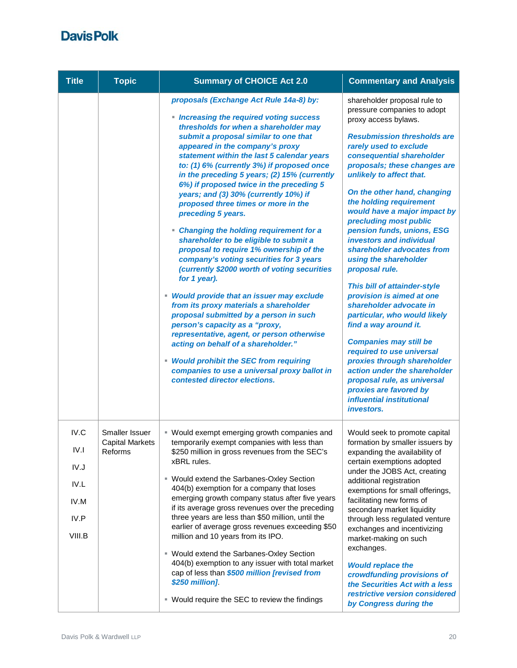| <b>Title</b>                                           | <b>Topic</b>                                        | <b>Summary of CHOICE Act 2.0</b>                                                                                                                                                                                                                                                                                                                                                                                                                                                                                                                                                                                                                                                                                                                                                                                                                                                                                                                                                                                                                                                                                                        | <b>Commentary and Analysis</b>                                                                                                                                                                                                                                                                                                                                                                                                                                                                                                                                                                                                                                                                                                                                                                                                                                                               |
|--------------------------------------------------------|-----------------------------------------------------|-----------------------------------------------------------------------------------------------------------------------------------------------------------------------------------------------------------------------------------------------------------------------------------------------------------------------------------------------------------------------------------------------------------------------------------------------------------------------------------------------------------------------------------------------------------------------------------------------------------------------------------------------------------------------------------------------------------------------------------------------------------------------------------------------------------------------------------------------------------------------------------------------------------------------------------------------------------------------------------------------------------------------------------------------------------------------------------------------------------------------------------------|----------------------------------------------------------------------------------------------------------------------------------------------------------------------------------------------------------------------------------------------------------------------------------------------------------------------------------------------------------------------------------------------------------------------------------------------------------------------------------------------------------------------------------------------------------------------------------------------------------------------------------------------------------------------------------------------------------------------------------------------------------------------------------------------------------------------------------------------------------------------------------------------|
|                                                        |                                                     | proposals (Exchange Act Rule 14a-8) by:<br>• Increasing the required voting success<br>thresholds for when a shareholder may<br>submit a proposal similar to one that<br>appeared in the company's proxy<br>statement within the last 5 calendar years<br>to: (1) 6% (currently 3%) if proposed once<br>in the preceding 5 years; (2) 15% (currently<br>6%) if proposed twice in the preceding 5<br>years; and (3) 30% (currently 10%) if<br>proposed three times or more in the<br>preceding 5 years.<br>• Changing the holding requirement for a<br>shareholder to be eligible to submit a<br>proposal to require 1% ownership of the<br>company's voting securities for 3 years<br>(currently \$2000 worth of voting securities<br>for 1 year).<br>• Would provide that an issuer may exclude<br>from its proxy materials a shareholder<br>proposal submitted by a person in such<br>person's capacity as a "proxy,<br>representative, agent, or person otherwise<br>acting on behalf of a shareholder."<br>• Would prohibit the SEC from requiring<br>companies to use a universal proxy ballot in<br>contested director elections. | shareholder proposal rule to<br>pressure companies to adopt<br>proxy access bylaws.<br><b>Resubmission thresholds are</b><br>rarely used to exclude<br>consequential shareholder<br>proposals; these changes are<br>unlikely to affect that.<br>On the other hand, changing<br>the holding requirement<br>would have a major impact by<br>precluding most public<br>pension funds, unions, ESG<br>investors and individual<br>shareholder advocates from<br>using the shareholder<br>proposal rule.<br>This bill of attainder-style<br>provision is aimed at one<br>shareholder advocate in<br>particular, who would likely<br>find a way around it.<br><b>Companies may still be</b><br>required to use universal<br>proxies through shareholder<br>action under the shareholder<br>proposal rule, as universal<br>proxies are favored by<br>influential institutional<br><i>investors.</i> |
| IV.C<br>IV.I<br>IV.J<br>IV.L<br>IV.M<br>IV.P<br>VIII.B | Smaller Issuer<br><b>Capital Markets</b><br>Reforms | ■ Would exempt emerging growth companies and<br>temporarily exempt companies with less than<br>\$250 million in gross revenues from the SEC's<br>xBRL rules.<br>■ Would extend the Sarbanes-Oxley Section<br>404(b) exemption for a company that loses<br>emerging growth company status after five years<br>if its average gross revenues over the preceding<br>three years are less than \$50 million, until the<br>earlier of average gross revenues exceeding \$50<br>million and 10 years from its IPO.<br>■ Would extend the Sarbanes-Oxley Section<br>404(b) exemption to any issuer with total market<br>cap of less than \$500 million [revised from<br>\$250 million].<br>■ Would require the SEC to review the findings                                                                                                                                                                                                                                                                                                                                                                                                      | Would seek to promote capital<br>formation by smaller issuers by<br>expanding the availability of<br>certain exemptions adopted<br>under the JOBS Act, creating<br>additional registration<br>exemptions for small offerings,<br>facilitating new forms of<br>secondary market liquidity<br>through less regulated venture<br>exchanges and incentivizing<br>market-making on such<br>exchanges.<br><b>Would replace the</b><br>crowdfunding provisions of<br>the Securities Act with a less<br>restrictive version considered<br>by Congress during the                                                                                                                                                                                                                                                                                                                                     |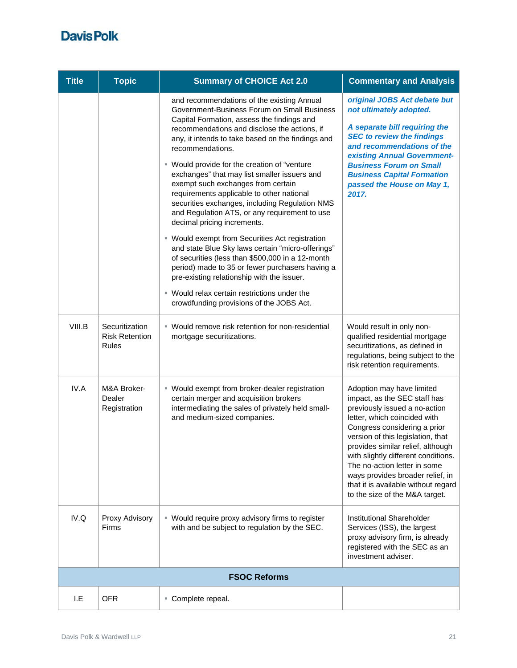| <b>Title</b> | <b>Topic</b>                                     | <b>Summary of CHOICE Act 2.0</b>                                                                                                                                                                                                                                                                                                                                                                                                                                                                                                                                                                                                                                                                                                                                                                                                                                                                                                               | <b>Commentary and Analysis</b>                                                                                                                                                                                                                                                                                                                                                                                           |  |
|--------------|--------------------------------------------------|------------------------------------------------------------------------------------------------------------------------------------------------------------------------------------------------------------------------------------------------------------------------------------------------------------------------------------------------------------------------------------------------------------------------------------------------------------------------------------------------------------------------------------------------------------------------------------------------------------------------------------------------------------------------------------------------------------------------------------------------------------------------------------------------------------------------------------------------------------------------------------------------------------------------------------------------|--------------------------------------------------------------------------------------------------------------------------------------------------------------------------------------------------------------------------------------------------------------------------------------------------------------------------------------------------------------------------------------------------------------------------|--|
|              |                                                  | and recommendations of the existing Annual<br>Government-Business Forum on Small Business<br>Capital Formation, assess the findings and<br>recommendations and disclose the actions, if<br>any, it intends to take based on the findings and<br>recommendations.<br>" Would provide for the creation of "venture<br>exchanges" that may list smaller issuers and<br>exempt such exchanges from certain<br>requirements applicable to other national<br>securities exchanges, including Regulation NMS<br>and Regulation ATS, or any requirement to use<br>decimal pricing increments.<br>■ Would exempt from Securities Act registration<br>and state Blue Sky laws certain "micro-offerings"<br>of securities (less than \$500,000 in a 12-month<br>period) made to 35 or fewer purchasers having a<br>pre-existing relationship with the issuer.<br>" Would relax certain restrictions under the<br>crowdfunding provisions of the JOBS Act. | original JOBS Act debate but<br>not ultimately adopted.<br>A separate bill requiring the<br><b>SEC to review the findings</b><br>and recommendations of the<br>existing Annual Government-<br><b>Business Forum on Small</b><br><b>Business Capital Formation</b><br>passed the House on May 1,<br>2017.                                                                                                                 |  |
| VIII.B       | Securitization<br><b>Risk Retention</b><br>Rules | • Would remove risk retention for non-residential<br>mortgage securitizations.                                                                                                                                                                                                                                                                                                                                                                                                                                                                                                                                                                                                                                                                                                                                                                                                                                                                 | Would result in only non-<br>qualified residential mortgage<br>securitizations, as defined in<br>regulations, being subject to the<br>risk retention requirements.                                                                                                                                                                                                                                                       |  |
| IV.A         | M&A Broker-<br>Dealer<br>Registration            | ■ Would exempt from broker-dealer registration<br>certain merger and acquisition brokers<br>intermediating the sales of privately held small-<br>and medium-sized companies.                                                                                                                                                                                                                                                                                                                                                                                                                                                                                                                                                                                                                                                                                                                                                                   | Adoption may have limited<br>impact, as the SEC staff has<br>previously issued a no-action<br>letter, which coincided with<br>Congress considering a prior<br>version of this legislation, that<br>provides similar relief, although<br>with slightly different conditions.<br>The no-action letter in some<br>ways provides broader relief, in<br>that it is available without regard<br>to the size of the M&A target. |  |
| IV.Q         | Proxy Advisory<br>Firms                          | • Would require proxy advisory firms to register<br>with and be subject to regulation by the SEC.                                                                                                                                                                                                                                                                                                                                                                                                                                                                                                                                                                                                                                                                                                                                                                                                                                              | Institutional Shareholder<br>Services (ISS), the largest<br>proxy advisory firm, is already<br>registered with the SEC as an<br>investment adviser.                                                                                                                                                                                                                                                                      |  |
|              | <b>FSOC Reforms</b>                              |                                                                                                                                                                                                                                                                                                                                                                                                                                                                                                                                                                                                                                                                                                                                                                                                                                                                                                                                                |                                                                                                                                                                                                                                                                                                                                                                                                                          |  |
| I.E          | <b>OFR</b>                                       | " Complete repeal.                                                                                                                                                                                                                                                                                                                                                                                                                                                                                                                                                                                                                                                                                                                                                                                                                                                                                                                             |                                                                                                                                                                                                                                                                                                                                                                                                                          |  |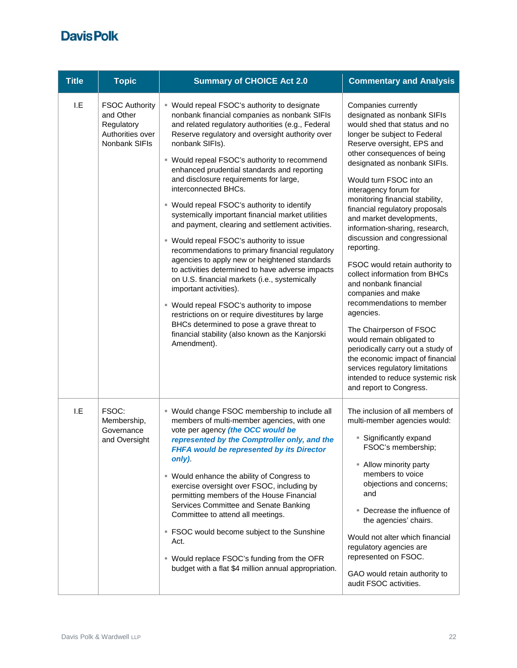| <b>Title</b> | <b>Topic</b>                                                                          | <b>Summary of CHOICE Act 2.0</b>                                                                                                                                                                                                                                                                                                                                                                                                                                                                                                                                                                                                                                                                                                                                                                                                                                                                                                                                                                                                                 | <b>Commentary and Analysis</b>                                                                                                                                                                                                                                                                                                                                                                                                                                                                                                                                                                                                                                                                                                                                                                                                                       |
|--------------|---------------------------------------------------------------------------------------|--------------------------------------------------------------------------------------------------------------------------------------------------------------------------------------------------------------------------------------------------------------------------------------------------------------------------------------------------------------------------------------------------------------------------------------------------------------------------------------------------------------------------------------------------------------------------------------------------------------------------------------------------------------------------------------------------------------------------------------------------------------------------------------------------------------------------------------------------------------------------------------------------------------------------------------------------------------------------------------------------------------------------------------------------|------------------------------------------------------------------------------------------------------------------------------------------------------------------------------------------------------------------------------------------------------------------------------------------------------------------------------------------------------------------------------------------------------------------------------------------------------------------------------------------------------------------------------------------------------------------------------------------------------------------------------------------------------------------------------------------------------------------------------------------------------------------------------------------------------------------------------------------------------|
| I.E          | <b>FSOC Authority</b><br>and Other<br>Regulatory<br>Authorities over<br>Nonbank SIFIs | ■ Would repeal FSOC's authority to designate<br>nonbank financial companies as nonbank SIFIs<br>and related regulatory authorities (e.g., Federal<br>Reserve regulatory and oversight authority over<br>nonbank SIFIs).<br>" Would repeal FSOC's authority to recommend<br>enhanced prudential standards and reporting<br>and disclosure requirements for large,<br>interconnected BHCs.<br>" Would repeal FSOC's authority to identify<br>systemically important financial market utilities<br>and payment, clearing and settlement activities.<br>" Would repeal FSOC's authority to issue<br>recommendations to primary financial regulatory<br>agencies to apply new or heightened standards<br>to activities determined to have adverse impacts<br>on U.S. financial markets (i.e., systemically<br>important activities).<br>" Would repeal FSOC's authority to impose<br>restrictions on or require divestitures by large<br>BHCs determined to pose a grave threat to<br>financial stability (also known as the Kanjorski<br>Amendment). | Companies currently<br>designated as nonbank SIFIs<br>would shed that status and no<br>longer be subject to Federal<br>Reserve oversight, EPS and<br>other consequences of being<br>designated as nonbank SIFIs.<br>Would turn FSOC into an<br>interagency forum for<br>monitoring financial stability,<br>financial regulatory proposals<br>and market developments,<br>information-sharing, research,<br>discussion and congressional<br>reporting.<br>FSOC would retain authority to<br>collect information from BHCs<br>and nonbank financial<br>companies and make<br>recommendations to member<br>agencies.<br>The Chairperson of FSOC<br>would remain obligated to<br>periodically carry out a study of<br>the economic impact of financial<br>services regulatory limitations<br>intended to reduce systemic risk<br>and report to Congress. |
| 1.E          | FSOC:<br>Membership,<br>Governance<br>and Oversight                                   | ■ Would change FSOC membership to include all<br>members of multi-member agencies, with one<br>vote per agency (the OCC would be<br>represented by the Comptroller only, and the<br>FHFA would be represented by its Director<br>only).<br>■ Would enhance the ability of Congress to<br>exercise oversight over FSOC, including by<br>permitting members of the House Financial<br>Services Committee and Senate Banking<br>Committee to attend all meetings.<br>■ FSOC would become subject to the Sunshine<br>Act.<br>■ Would replace FSOC's funding from the OFR<br>budget with a flat \$4 million annual appropriation.                                                                                                                                                                                                                                                                                                                                                                                                                     | The inclusion of all members of<br>multi-member agencies would:<br><b>Significantly expand</b><br>FSOC's membership;<br>- Allow minority party<br>members to voice<br>objections and concerns;<br>and<br>Decrease the influence of<br>the agencies' chairs.<br>Would not alter which financial<br>regulatory agencies are<br>represented on FSOC.<br>GAO would retain authority to<br>audit FSOC activities.                                                                                                                                                                                                                                                                                                                                                                                                                                         |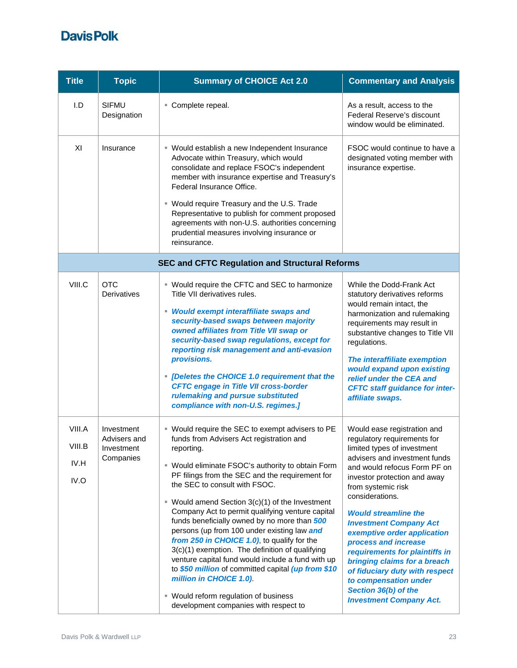| <b>Title</b>                     | <b>Topic</b>                                          | <b>Summary of CHOICE Act 2.0</b>                                                                                                                                                                                                                                                                                                                                                                                                                                                                                                                                                                                                                                                                                                                                                                 | <b>Commentary and Analysis</b>                                                                                                                                                                                                                                                                                                                                                                                                                                                                                                                    |
|----------------------------------|-------------------------------------------------------|--------------------------------------------------------------------------------------------------------------------------------------------------------------------------------------------------------------------------------------------------------------------------------------------------------------------------------------------------------------------------------------------------------------------------------------------------------------------------------------------------------------------------------------------------------------------------------------------------------------------------------------------------------------------------------------------------------------------------------------------------------------------------------------------------|---------------------------------------------------------------------------------------------------------------------------------------------------------------------------------------------------------------------------------------------------------------------------------------------------------------------------------------------------------------------------------------------------------------------------------------------------------------------------------------------------------------------------------------------------|
| I.D                              | <b>SIFMU</b><br>Designation                           | Complete repeal.                                                                                                                                                                                                                                                                                                                                                                                                                                                                                                                                                                                                                                                                                                                                                                                 | As a result, access to the<br>Federal Reserve's discount<br>window would be eliminated.                                                                                                                                                                                                                                                                                                                                                                                                                                                           |
| XI                               | Insurance                                             | " Would establish a new Independent Insurance<br>Advocate within Treasury, which would<br>consolidate and replace FSOC's independent<br>member with insurance expertise and Treasury's<br>Federal Insurance Office.<br>" Would require Treasury and the U.S. Trade<br>Representative to publish for comment proposed<br>agreements with non-U.S. authorities concerning<br>prudential measures involving insurance or<br>reinsurance.                                                                                                                                                                                                                                                                                                                                                            | FSOC would continue to have a<br>designated voting member with<br>insurance expertise.                                                                                                                                                                                                                                                                                                                                                                                                                                                            |
|                                  |                                                       | <b>SEC and CFTC Regulation and Structural Reforms</b>                                                                                                                                                                                                                                                                                                                                                                                                                                                                                                                                                                                                                                                                                                                                            |                                                                                                                                                                                                                                                                                                                                                                                                                                                                                                                                                   |
| VIII.C                           | <b>OTC</b><br><b>Derivatives</b>                      | " Would require the CFTC and SEC to harmonize<br>Title VII derivatives rules.<br>• Would exempt interaffiliate swaps and<br>security-based swaps between majority<br>owned affiliates from Title VII swap or<br>security-based swap regulations, except for<br>reporting risk management and anti-evasion<br>provisions.<br>• [Deletes the CHOICE 1.0 requirement that the<br><b>CFTC engage in Title VII cross-border</b><br>rulemaking and pursue substituted<br>compliance with non-U.S. regimes.]                                                                                                                                                                                                                                                                                            | While the Dodd-Frank Act<br>statutory derivatives reforms<br>would remain intact, the<br>harmonization and rulemaking<br>requirements may result in<br>substantive changes to Title VII<br>regulations.<br>The interaffiliate exemption<br>would expand upon existing<br>relief under the CEA and<br><b>CFTC staff guidance for inter-</b><br>affiliate swaps.                                                                                                                                                                                    |
| VIII.A<br>VIII.B<br>IV.H<br>IV.O | Investment<br>Advisers and<br>Investment<br>Companies | " Would require the SEC to exempt advisers to PE<br>funds from Advisers Act registration and<br>reporting.<br>" Would eliminate FSOC's authority to obtain Form<br>PF filings from the SEC and the requirement for<br>the SEC to consult with FSOC.<br>$\blacksquare$ Would amend Section 3(c)(1) of the Investment<br>Company Act to permit qualifying venture capital<br>funds beneficially owned by no more than 500<br>persons (up from 100 under existing law and<br>from 250 in CHOICE 1.0), to qualify for the<br>3(c)(1) exemption. The definition of qualifying<br>venture capital fund would include a fund with up<br>to \$50 million of committed capital (up from \$10<br>million in CHOICE 1.0).<br>■ Would reform regulation of business<br>development companies with respect to | Would ease registration and<br>regulatory requirements for<br>limited types of investment<br>advisers and investment funds<br>and would refocus Form PF on<br>investor protection and away<br>from systemic risk<br>considerations.<br><b>Would streamline the</b><br><b>Investment Company Act</b><br>exemptive order application<br>process and increase<br>requirements for plaintiffs in<br>bringing claims for a breach<br>of fiduciary duty with respect<br>to compensation under<br>Section 36(b) of the<br><b>Investment Company Act.</b> |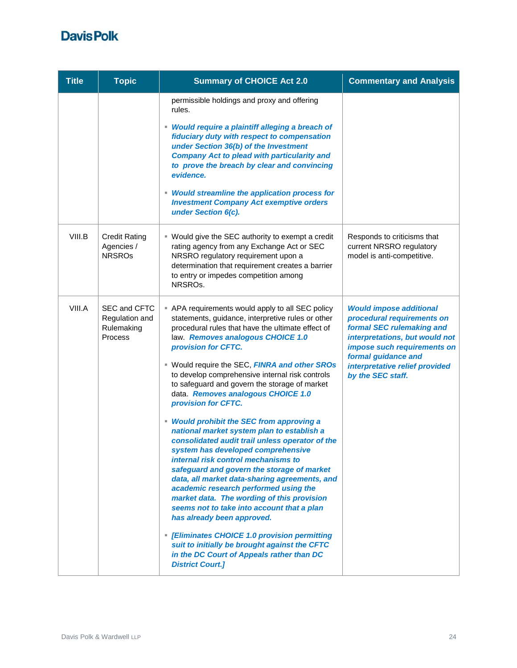| <b>Title</b> | <b>Topic</b>                                            | <b>Summary of CHOICE Act 2.0</b>                                                                                                                                                                                                                                                                                                                                                                                                                                                                                                                                                                                                                                                                                                                                                                                                                                                                                                                                                                                                                                                                                       | <b>Commentary and Analysis</b>                                                                                                                                                                                                           |
|--------------|---------------------------------------------------------|------------------------------------------------------------------------------------------------------------------------------------------------------------------------------------------------------------------------------------------------------------------------------------------------------------------------------------------------------------------------------------------------------------------------------------------------------------------------------------------------------------------------------------------------------------------------------------------------------------------------------------------------------------------------------------------------------------------------------------------------------------------------------------------------------------------------------------------------------------------------------------------------------------------------------------------------------------------------------------------------------------------------------------------------------------------------------------------------------------------------|------------------------------------------------------------------------------------------------------------------------------------------------------------------------------------------------------------------------------------------|
|              |                                                         | permissible holdings and proxy and offering<br>rules.<br>• Would require a plaintiff alleging a breach of<br>fiduciary duty with respect to compensation<br>under Section 36(b) of the Investment<br><b>Company Act to plead with particularity and</b><br>to prove the breach by clear and convincing<br>evidence.<br>• Would streamline the application process for<br><b>Investment Company Act exemptive orders</b><br>under Section 6(c).                                                                                                                                                                                                                                                                                                                                                                                                                                                                                                                                                                                                                                                                         |                                                                                                                                                                                                                                          |
| VIII.B       | <b>Credit Rating</b><br>Agencies /<br><b>NRSROs</b>     | ■ Would give the SEC authority to exempt a credit<br>rating agency from any Exchange Act or SEC<br>NRSRO regulatory requirement upon a<br>determination that requirement creates a barrier<br>to entry or impedes competition among<br>NRSRO <sub>s</sub> .                                                                                                                                                                                                                                                                                                                                                                                                                                                                                                                                                                                                                                                                                                                                                                                                                                                            | Responds to criticisms that<br>current NRSRO regulatory<br>model is anti-competitive.                                                                                                                                                    |
| VIII.A       | SEC and CFTC<br>Regulation and<br>Rulemaking<br>Process | - APA requirements would apply to all SEC policy<br>statements, guidance, interpretive rules or other<br>procedural rules that have the ultimate effect of<br>law. Removes analogous CHOICE 1.0<br>provision for CFTC.<br>■ Would require the SEC, FINRA and other SROs<br>to develop comprehensive internal risk controls<br>to safeguard and govern the storage of market<br>data. Removes analogous CHOICE 1.0<br>provision for CFTC.<br>• Would prohibit the SEC from approving a<br>national market system plan to establish a<br>consolidated audit trail unless operator of the<br>system has developed comprehensive<br><i>internal risk control mechanisms to</i><br>safeguard and govern the storage of market<br>data, all market data-sharing agreements, and<br>academic research performed using the<br>market data. The wording of this provision<br>seems not to take into account that a plan<br>has already been approved.<br>• [Eliminates CHOICE 1.0 provision permitting<br>suit to initially be brought against the CFTC<br>in the DC Court of Appeals rather than DC<br><b>District Court.]</b> | <b>Would impose additional</b><br>procedural requirements on<br>formal SEC rulemaking and<br>interpretations, but would not<br>impose such requirements on<br>formal guidance and<br>interpretative relief provided<br>by the SEC staff. |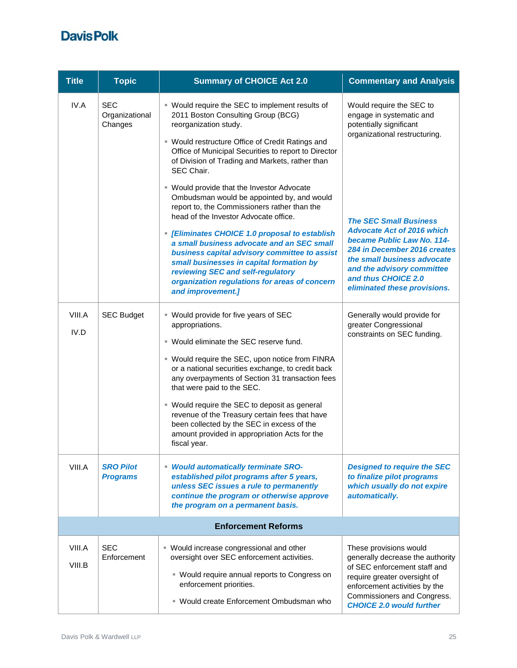| <b>Title</b>     | <b>Topic</b>                            | <b>Summary of CHOICE Act 2.0</b>                                                                                                                                                                                                                                                                                                                                                                                                                                                                               | <b>Commentary and Analysis</b>                                                                                                                                                                                                                       |
|------------------|-----------------------------------------|----------------------------------------------------------------------------------------------------------------------------------------------------------------------------------------------------------------------------------------------------------------------------------------------------------------------------------------------------------------------------------------------------------------------------------------------------------------------------------------------------------------|------------------------------------------------------------------------------------------------------------------------------------------------------------------------------------------------------------------------------------------------------|
| IV.A             | <b>SEC</b><br>Organizational<br>Changes | ■ Would require the SEC to implement results of<br>2011 Boston Consulting Group (BCG)<br>reorganization study.<br>■ Would restructure Office of Credit Ratings and<br>Office of Municipal Securities to report to Director<br>of Division of Trading and Markets, rather than<br>SEC Chair.                                                                                                                                                                                                                    | Would require the SEC to<br>engage in systematic and<br>potentially significant<br>organizational restructuring.                                                                                                                                     |
|                  |                                         | " Would provide that the Investor Advocate<br>Ombudsman would be appointed by, and would<br>report to, the Commissioners rather than the<br>head of the Investor Advocate office.<br>- [Eliminates CHOICE 1.0 proposal to establish<br>a small business advocate and an SEC small<br>business capital advisory committee to assist<br>small businesses in capital formation by<br>reviewing SEC and self-regulatory<br>organization regulations for areas of concern<br>and improvement.]                      | <b>The SEC Small Business</b><br><b>Advocate Act of 2016 which</b><br>became Public Law No. 114-<br>284 in December 2016 creates<br>the small business advocate<br>and the advisory committee<br>and thus CHOICE 2.0<br>eliminated these provisions. |
| VIII.A<br>IV.D   | <b>SEC Budget</b>                       | ■ Would provide for five years of SEC<br>appropriations.<br>■ Would eliminate the SEC reserve fund.<br>■ Would require the SEC, upon notice from FINRA<br>or a national securities exchange, to credit back<br>any overpayments of Section 31 transaction fees<br>that were paid to the SEC.<br>■ Would require the SEC to deposit as general<br>revenue of the Treasury certain fees that have<br>been collected by the SEC in excess of the<br>amount provided in appropriation Acts for the<br>fiscal year. | Generally would provide for<br>greater Congressional<br>constraints on SEC funding.                                                                                                                                                                  |
| VIII.A           | <b>SRO Pilot</b><br><b>Programs</b>     | <b>Would automatically terminate SRO-</b><br>established pilot programs after 5 years,<br>unless SEC issues a rule to permanently<br>continue the program or otherwise approve<br>the program on a permanent basis.                                                                                                                                                                                                                                                                                            | <b>Designed to require the SEC</b><br>to finalize pilot programs<br>which usually do not expire<br>automatically.                                                                                                                                    |
|                  |                                         | <b>Enforcement Reforms</b>                                                                                                                                                                                                                                                                                                                                                                                                                                                                                     |                                                                                                                                                                                                                                                      |
| VIII.A<br>VIII.B | <b>SEC</b><br>Enforcement               | ■ Would increase congressional and other<br>oversight over SEC enforcement activities.<br>Uvould require annual reports to Congress on<br>enforcement priorities.<br>■ Would create Enforcement Ombudsman who                                                                                                                                                                                                                                                                                                  | These provisions would<br>generally decrease the authority<br>of SEC enforcement staff and<br>require greater oversight of<br>enforcement activities by the<br>Commissioners and Congress.<br><b>CHOICE 2.0 would further</b>                        |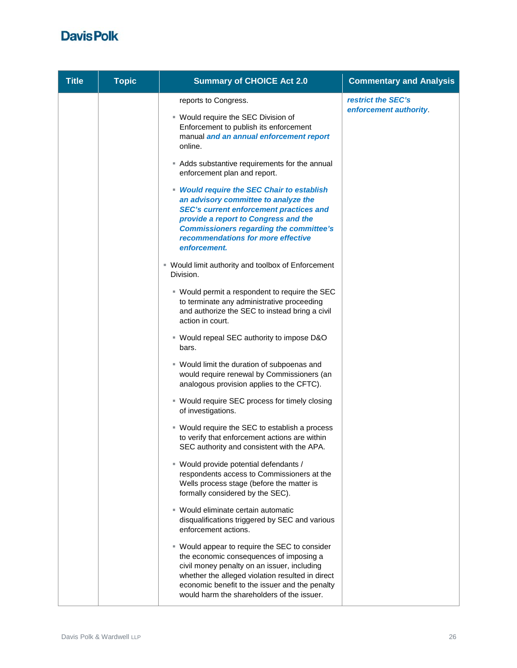| <b>Title</b> | <b>Topic</b> | <b>Summary of CHOICE Act 2.0</b>                                                                                                                                                                                                                                                            | <b>Commentary and Analysis</b> |
|--------------|--------------|---------------------------------------------------------------------------------------------------------------------------------------------------------------------------------------------------------------------------------------------------------------------------------------------|--------------------------------|
|              |              | reports to Congress.                                                                                                                                                                                                                                                                        | restrict the SEC's             |
|              |              | ■ Would require the SEC Division of<br>Enforcement to publish its enforcement<br>manual and an annual enforcement report<br>online.                                                                                                                                                         | enforcement authority.         |
|              |              | Adds substantive requirements for the annual<br>enforcement plan and report.                                                                                                                                                                                                                |                                |
|              |              | • Would require the SEC Chair to establish<br>an advisory committee to analyze the<br><b>SEC's current enforcement practices and</b><br>provide a report to Congress and the<br><b>Commissioners regarding the committee's</b><br>recommendations for more effective<br>enforcement.        |                                |
|              |              | ■ Would limit authority and toolbox of Enforcement<br>Division.                                                                                                                                                                                                                             |                                |
|              |              | ■ Would permit a respondent to require the SEC<br>to terminate any administrative proceeding<br>and authorize the SEC to instead bring a civil<br>action in court.                                                                                                                          |                                |
|              |              | ■ Would repeal SEC authority to impose D&O<br>bars.                                                                                                                                                                                                                                         |                                |
|              |              | " Would limit the duration of subpoenas and<br>would require renewal by Commissioners (an<br>analogous provision applies to the CFTC).                                                                                                                                                      |                                |
|              |              | ■ Would require SEC process for timely closing<br>of investigations.                                                                                                                                                                                                                        |                                |
|              |              | ■ Would require the SEC to establish a process<br>to verify that enforcement actions are within<br>SEC authority and consistent with the APA.                                                                                                                                               |                                |
|              |              | ■ Would provide potential defendants /<br>respondents access to Commissioners at the<br>Wells process stage (before the matter is<br>formally considered by the SEC).                                                                                                                       |                                |
|              |              | ■ Would eliminate certain automatic<br>disqualifications triggered by SEC and various<br>enforcement actions.                                                                                                                                                                               |                                |
|              |              | ■ Would appear to require the SEC to consider<br>the economic consequences of imposing a<br>civil money penalty on an issuer, including<br>whether the alleged violation resulted in direct<br>economic benefit to the issuer and the penalty<br>would harm the shareholders of the issuer. |                                |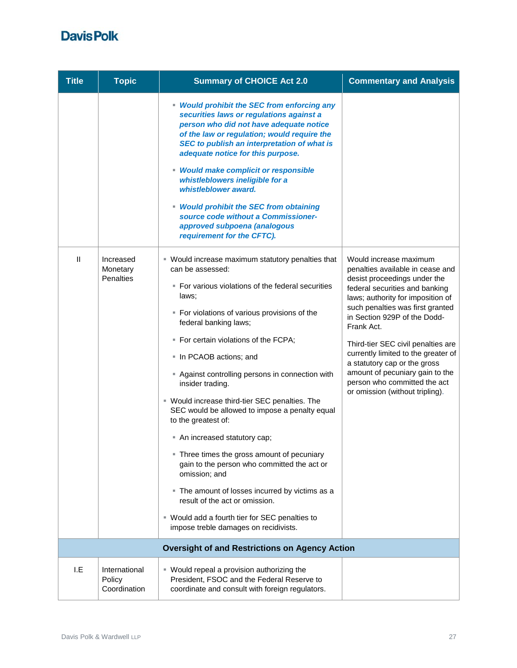| <b>Title</b>           | <b>Topic</b>                              | <b>Summary of CHOICE Act 2.0</b>                                                                                                                                                                                                                                                                                                                                                                                                                                                                                                                                                                                                                                                                                                                                                                                | <b>Commentary and Analysis</b>                                                                                                                                                                                                                                                                                                                                                                                                                                         |
|------------------------|-------------------------------------------|-----------------------------------------------------------------------------------------------------------------------------------------------------------------------------------------------------------------------------------------------------------------------------------------------------------------------------------------------------------------------------------------------------------------------------------------------------------------------------------------------------------------------------------------------------------------------------------------------------------------------------------------------------------------------------------------------------------------------------------------------------------------------------------------------------------------|------------------------------------------------------------------------------------------------------------------------------------------------------------------------------------------------------------------------------------------------------------------------------------------------------------------------------------------------------------------------------------------------------------------------------------------------------------------------|
|                        |                                           | • Would prohibit the SEC from enforcing any<br>securities laws or regulations against a<br>person who did not have adequate notice<br>of the law or regulation; would require the<br>SEC to publish an interpretation of what is<br>adequate notice for this purpose.<br>• Would make complicit or responsible<br>whistleblowers ineligible for a<br>whistleblower award.<br>• Would prohibit the SEC from obtaining<br>source code without a Commissioner-<br>approved subpoena (analogous<br>requirement for the CFTC).                                                                                                                                                                                                                                                                                       |                                                                                                                                                                                                                                                                                                                                                                                                                                                                        |
| $\mathsf{I}\mathsf{I}$ | Increased<br>Monetary<br><b>Penalties</b> | • Would increase maximum statutory penalties that<br>can be assessed:<br>• For various violations of the federal securities<br>laws:<br>• For violations of various provisions of the<br>federal banking laws;<br>■ For certain violations of the FCPA;<br>In PCAOB actions; and<br>" Against controlling persons in connection with<br>insider trading.<br>" Would increase third-tier SEC penalties. The<br>SEC would be allowed to impose a penalty equal<br>to the greatest of:<br>An increased statutory cap;<br>• Three times the gross amount of pecuniary<br>gain to the person who committed the act or<br>omission; and<br>The amount of losses incurred by victims as a<br>result of the act or omission.<br>■ Would add a fourth tier for SEC penalties to<br>impose treble damages on recidivists. | Would increase maximum<br>penalties available in cease and<br>desist proceedings under the<br>federal securities and banking<br>laws; authority for imposition of<br>such penalties was first granted<br>in Section 929P of the Dodd-<br>Frank Act.<br>Third-tier SEC civil penalties are<br>currently limited to the greater of<br>a statutory cap or the gross<br>amount of pecuniary gain to the<br>person who committed the act<br>or omission (without tripling). |
|                        |                                           | <b>Oversight of and Restrictions on Agency Action</b>                                                                                                                                                                                                                                                                                                                                                                                                                                                                                                                                                                                                                                                                                                                                                           |                                                                                                                                                                                                                                                                                                                                                                                                                                                                        |
| I.E                    | International<br>Policy<br>Coordination   | " Would repeal a provision authorizing the<br>President, FSOC and the Federal Reserve to<br>coordinate and consult with foreign regulators.                                                                                                                                                                                                                                                                                                                                                                                                                                                                                                                                                                                                                                                                     |                                                                                                                                                                                                                                                                                                                                                                                                                                                                        |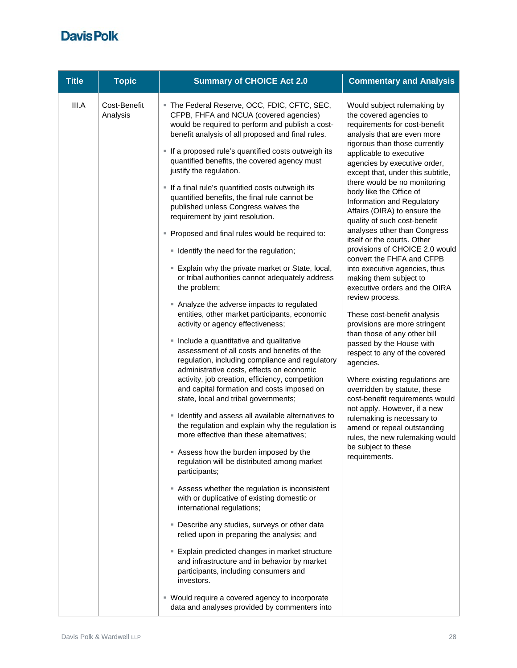| <b>Title</b> | <b>Topic</b>             | <b>Summary of CHOICE Act 2.0</b>                                                                                                                                                                                                                                                                                                                                                                                                                                                                                                                                                                                                                                                                                                                                                                                                                                                                                                                                                                                                                                                                                                                                                                                                                                                                                                                                                                                                                                                                                                                                                                                                                                                                                                                                                                                                                                                                                                                                                 | <b>Commentary and Analysis</b>                                                                                                                                                                                                                                                                                                                                                                                                                                                                                                                                                                                                                                                                                                                                                                                                                                                                                                                                                                                                                                                                                       |
|--------------|--------------------------|----------------------------------------------------------------------------------------------------------------------------------------------------------------------------------------------------------------------------------------------------------------------------------------------------------------------------------------------------------------------------------------------------------------------------------------------------------------------------------------------------------------------------------------------------------------------------------------------------------------------------------------------------------------------------------------------------------------------------------------------------------------------------------------------------------------------------------------------------------------------------------------------------------------------------------------------------------------------------------------------------------------------------------------------------------------------------------------------------------------------------------------------------------------------------------------------------------------------------------------------------------------------------------------------------------------------------------------------------------------------------------------------------------------------------------------------------------------------------------------------------------------------------------------------------------------------------------------------------------------------------------------------------------------------------------------------------------------------------------------------------------------------------------------------------------------------------------------------------------------------------------------------------------------------------------------------------------------------------------|----------------------------------------------------------------------------------------------------------------------------------------------------------------------------------------------------------------------------------------------------------------------------------------------------------------------------------------------------------------------------------------------------------------------------------------------------------------------------------------------------------------------------------------------------------------------------------------------------------------------------------------------------------------------------------------------------------------------------------------------------------------------------------------------------------------------------------------------------------------------------------------------------------------------------------------------------------------------------------------------------------------------------------------------------------------------------------------------------------------------|
| III.A        | Cost-Benefit<br>Analysis | The Federal Reserve, OCC, FDIC, CFTC, SEC,<br>CFPB, FHFA and NCUA (covered agencies)<br>would be required to perform and publish a cost-<br>benefit analysis of all proposed and final rules.<br>If a proposed rule's quantified costs outweigh its<br>quantified benefits, the covered agency must<br>justify the regulation.<br>If a final rule's quantified costs outweigh its<br>quantified benefits, the final rule cannot be<br>published unless Congress waives the<br>requirement by joint resolution.<br>• Proposed and final rules would be required to:<br>• Identify the need for the regulation;<br>Explain why the private market or State, local,<br>or tribal authorities cannot adequately address<br>the problem;<br>Analyze the adverse impacts to regulated<br>entities, other market participants, economic<br>activity or agency effectiveness;<br>· Include a quantitative and qualitative<br>assessment of all costs and benefits of the<br>regulation, including compliance and regulatory<br>administrative costs, effects on economic<br>activity, job creation, efficiency, competition<br>and capital formation and costs imposed on<br>state, local and tribal governments;<br><b>If I dentify and assess all available alternatives to</b><br>the regulation and explain why the regulation is<br>more effective than these alternatives;<br>Assess how the burden imposed by the<br>regulation will be distributed among market<br>participants;<br>Assess whether the regulation is inconsistent<br>with or duplicative of existing domestic or<br>international regulations;<br>• Describe any studies, surveys or other data<br>relied upon in preparing the analysis; and<br><b>Explain predicted changes in market structure</b><br>and infrastructure and in behavior by market<br>participants, including consumers and<br>investors.<br>• Would require a covered agency to incorporate<br>data and analyses provided by commenters into | Would subject rulemaking by<br>the covered agencies to<br>requirements for cost-benefit<br>analysis that are even more<br>rigorous than those currently<br>applicable to executive<br>agencies by executive order,<br>except that, under this subtitle,<br>there would be no monitoring<br>body like the Office of<br>Information and Regulatory<br>Affairs (OIRA) to ensure the<br>quality of such cost-benefit<br>analyses other than Congress<br>itself or the courts. Other<br>provisions of CHOICE 2.0 would<br>convert the FHFA and CFPB<br>into executive agencies, thus<br>making them subject to<br>executive orders and the OIRA<br>review process.<br>These cost-benefit analysis<br>provisions are more stringent<br>than those of any other bill<br>passed by the House with<br>respect to any of the covered<br>agencies.<br>Where existing regulations are<br>overridden by statute, these<br>cost-benefit requirements would<br>not apply. However, if a new<br>rulemaking is necessary to<br>amend or repeal outstanding<br>rules, the new rulemaking would<br>be subject to these<br>requirements. |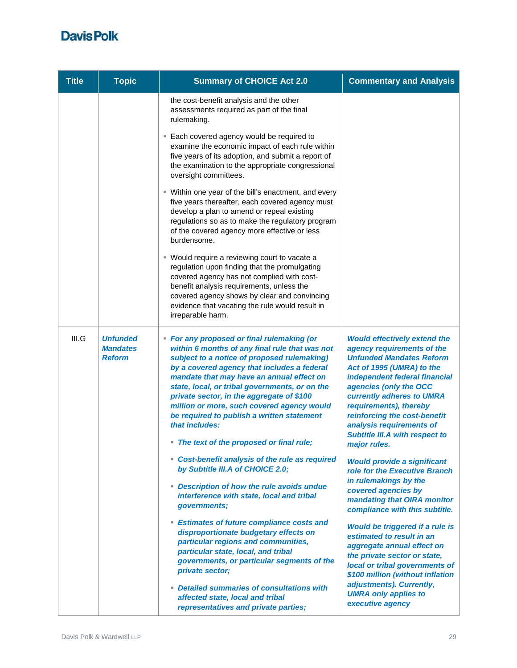| <b>Title</b> | <b>Topic</b>                                        | <b>Summary of CHOICE Act 2.0</b>                                                                                                                                                                                                                                                                                                                                                                                                                                                                  | <b>Commentary and Analysis</b>                                                                                                                                                                                                                                                                                                                                           |
|--------------|-----------------------------------------------------|---------------------------------------------------------------------------------------------------------------------------------------------------------------------------------------------------------------------------------------------------------------------------------------------------------------------------------------------------------------------------------------------------------------------------------------------------------------------------------------------------|--------------------------------------------------------------------------------------------------------------------------------------------------------------------------------------------------------------------------------------------------------------------------------------------------------------------------------------------------------------------------|
|              |                                                     | the cost-benefit analysis and the other<br>assessments required as part of the final<br>rulemaking.                                                                                                                                                                                                                                                                                                                                                                                               |                                                                                                                                                                                                                                                                                                                                                                          |
|              |                                                     | . Each covered agency would be required to<br>examine the economic impact of each rule within<br>five years of its adoption, and submit a report of<br>the examination to the appropriate congressional<br>oversight committees.                                                                                                                                                                                                                                                                  |                                                                                                                                                                                                                                                                                                                                                                          |
|              |                                                     | " Within one year of the bill's enactment, and every<br>five years thereafter, each covered agency must<br>develop a plan to amend or repeal existing<br>regulations so as to make the regulatory program<br>of the covered agency more effective or less<br>burdensome.                                                                                                                                                                                                                          |                                                                                                                                                                                                                                                                                                                                                                          |
|              |                                                     | " Would require a reviewing court to vacate a<br>regulation upon finding that the promulgating<br>covered agency has not complied with cost-<br>benefit analysis requirements, unless the<br>covered agency shows by clear and convincing<br>evidence that vacating the rule would result in<br>irreparable harm.                                                                                                                                                                                 |                                                                                                                                                                                                                                                                                                                                                                          |
| III.G        | <b>Unfunded</b><br><b>Mandates</b><br><b>Reform</b> | • For any proposed or final rulemaking (or<br>within 6 months of any final rule that was not<br>subject to a notice of proposed rulemaking)<br>by a covered agency that includes a federal<br>mandate that may have an annual effect on<br>state, local, or tribal governments, or on the<br>private sector, in the aggregate of \$100<br>million or more, such covered agency would<br>be required to publish a written statement<br>that includes:<br>• The text of the proposed or final rule; | <b>Would effectively extend the</b><br>agency requirements of the<br><b>Unfunded Mandates Reform</b><br>Act of 1995 (UMRA) to the<br>independent federal financial<br>agencies (only the OCC<br>currently adheres to UMRA<br>requirements), thereby<br>reinforcing the cost-benefit<br>analysis requirements of<br><b>Subtitle III.A with respect to</b><br>major rules. |
|              |                                                     | • Cost-benefit analysis of the rule as required<br>by Subtitle III.A of CHOICE 2.0;<br>• Description of how the rule avoids undue<br>interference with state, local and tribal<br>governments;                                                                                                                                                                                                                                                                                                    | <b>Would provide a significant</b><br>role for the Executive Branch<br>in rulemakings by the<br>covered agencies by<br>mandating that OIRA monitor<br>compliance with this subtitle.                                                                                                                                                                                     |
|              |                                                     | <b>Estimates of future compliance costs and</b><br>disproportionate budgetary effects on<br>particular regions and communities,<br>particular state, local, and tribal<br>governments, or particular segments of the<br>private sector;                                                                                                                                                                                                                                                           | <b>Would be triggered if a rule is</b><br>estimated to result in an<br>aggregate annual effect on<br>the private sector or state,<br>local or tribal governments of<br>\$100 million (without inflation<br>adjustments). Currently,                                                                                                                                      |
|              |                                                     | • Detailed summaries of consultations with<br>affected state, local and tribal<br>representatives and private parties;                                                                                                                                                                                                                                                                                                                                                                            | <b>UMRA only applies to</b><br>executive agency                                                                                                                                                                                                                                                                                                                          |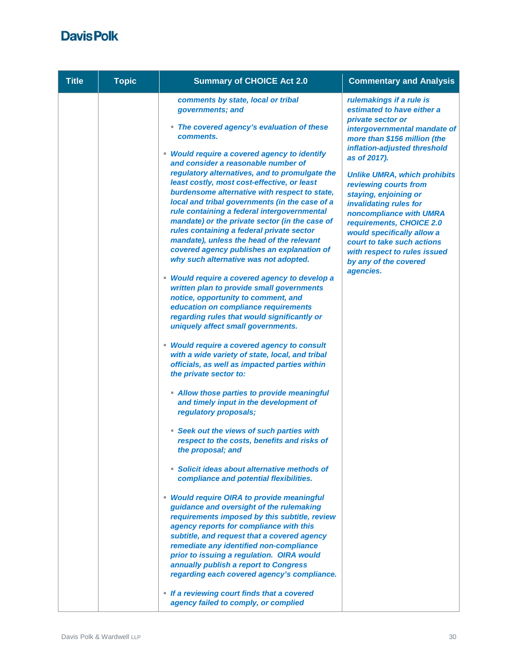| <b>Title</b> | <b>Topic</b> | <b>Summary of CHOICE Act 2.0</b>                                                                                                                                                                                                                                                                                                                                                                                                                                                                                                                                                                                                                                                                                                                                                                                                                                                                                                                                                                                                                                                                                    | <b>Commentary and Analysis</b>                                                                                                                                                                                                                                                                                                                                                                                                                                                                          |
|--------------|--------------|---------------------------------------------------------------------------------------------------------------------------------------------------------------------------------------------------------------------------------------------------------------------------------------------------------------------------------------------------------------------------------------------------------------------------------------------------------------------------------------------------------------------------------------------------------------------------------------------------------------------------------------------------------------------------------------------------------------------------------------------------------------------------------------------------------------------------------------------------------------------------------------------------------------------------------------------------------------------------------------------------------------------------------------------------------------------------------------------------------------------|---------------------------------------------------------------------------------------------------------------------------------------------------------------------------------------------------------------------------------------------------------------------------------------------------------------------------------------------------------------------------------------------------------------------------------------------------------------------------------------------------------|
|              |              | comments by state, local or tribal<br>governments; and<br>• The covered agency's evaluation of these<br>comments.<br>• Would require a covered agency to identify<br>and consider a reasonable number of<br>regulatory alternatives, and to promulgate the<br>least costly, most cost-effective, or least<br>burdensome alternative with respect to state,<br>local and tribal governments (in the case of a<br>rule containing a federal intergovernmental<br>mandate) or the private sector (in the case of<br>rules containing a federal private sector<br>mandate), unless the head of the relevant<br>covered agency publishes an explanation of<br>why such alternative was not adopted.<br>• Would require a covered agency to develop a<br>written plan to provide small governments<br>notice, opportunity to comment, and<br>education on compliance requirements<br>regarding rules that would significantly or<br>uniquely affect small governments.<br>• Would require a covered agency to consult<br>with a wide variety of state, local, and tribal<br>officials, as well as impacted parties within | rulemakings if a rule is<br>estimated to have either a<br>private sector or<br>intergovernmental mandate of<br>more than \$156 million (the<br>inflation-adjusted threshold<br>as of 2017).<br><b>Unlike UMRA, which prohibits</b><br>reviewing courts from<br>staying, enjoining or<br>invalidating rules for<br>noncompliance with UMRA<br>requirements, CHOICE 2.0<br>would specifically allow a<br>court to take such actions<br>with respect to rules issued<br>by any of the covered<br>agencies. |
|              |              | • Allow those parties to provide meaningful<br>and timely input in the development of<br>regulatory proposals;<br>Seek out the views of such parties with<br>respect to the costs, benefits and risks of<br>the proposal; and<br>• Solicit ideas about alternative methods of<br>compliance and potential flexibilities.<br>• Would require OIRA to provide meaningful<br>guidance and oversight of the rulemaking<br>requirements imposed by this subtitle, review<br>agency reports for compliance with this<br>subtitle, and request that a covered agency<br>remediate any identified non-compliance<br>prior to issuing a regulation. OIRA would<br>annually publish a report to Congress<br>regarding each covered agency's compliance.<br>• If a reviewing court finds that a covered<br>agency failed to comply, or complied                                                                                                                                                                                                                                                                                |                                                                                                                                                                                                                                                                                                                                                                                                                                                                                                         |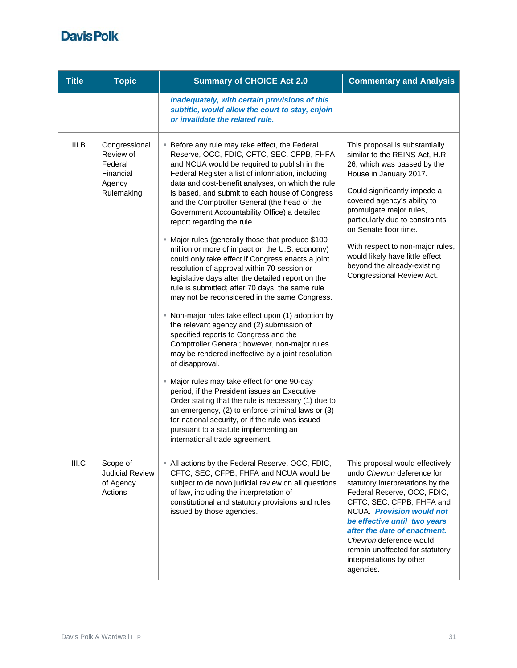| <b>Title</b> | <b>Topic</b>                                                               | <b>Summary of CHOICE Act 2.0</b>                                                                                                                                                                                                                                                                                                                                                                                                                                                                                                                                                                                                                                                                                                                                                                                                                                                                                                                                                                                                                                                                                                                                                                                                                                                                                                                                                                                               | <b>Commentary and Analysis</b>                                                                                                                                                                                                                                                                                                                                                                                     |
|--------------|----------------------------------------------------------------------------|--------------------------------------------------------------------------------------------------------------------------------------------------------------------------------------------------------------------------------------------------------------------------------------------------------------------------------------------------------------------------------------------------------------------------------------------------------------------------------------------------------------------------------------------------------------------------------------------------------------------------------------------------------------------------------------------------------------------------------------------------------------------------------------------------------------------------------------------------------------------------------------------------------------------------------------------------------------------------------------------------------------------------------------------------------------------------------------------------------------------------------------------------------------------------------------------------------------------------------------------------------------------------------------------------------------------------------------------------------------------------------------------------------------------------------|--------------------------------------------------------------------------------------------------------------------------------------------------------------------------------------------------------------------------------------------------------------------------------------------------------------------------------------------------------------------------------------------------------------------|
|              |                                                                            | inadequately, with certain provisions of this<br>subtitle, would allow the court to stay, enjoin<br>or invalidate the related rule.                                                                                                                                                                                                                                                                                                                                                                                                                                                                                                                                                                                                                                                                                                                                                                                                                                                                                                                                                                                                                                                                                                                                                                                                                                                                                            |                                                                                                                                                                                                                                                                                                                                                                                                                    |
| III.B        | Congressional<br>Review of<br>Federal<br>Financial<br>Agency<br>Rulemaking | <b>Before any rule may take effect, the Federal</b><br>Reserve, OCC, FDIC, CFTC, SEC, CFPB, FHFA<br>and NCUA would be required to publish in the<br>Federal Register a list of information, including<br>data and cost-benefit analyses, on which the rule<br>is based, and submit to each house of Congress<br>and the Comptroller General (the head of the<br>Government Accountability Office) a detailed<br>report regarding the rule.<br>■ Major rules (generally those that produce \$100<br>million or more of impact on the U.S. economy)<br>could only take effect if Congress enacts a joint<br>resolution of approval within 70 session or<br>legislative days after the detailed report on the<br>rule is submitted; after 70 days, the same rule<br>may not be reconsidered in the same Congress.<br>• Non-major rules take effect upon (1) adoption by<br>the relevant agency and (2) submission of<br>specified reports to Congress and the<br>Comptroller General; however, non-major rules<br>may be rendered ineffective by a joint resolution<br>of disapproval.<br>" Major rules may take effect for one 90-day<br>period, if the President issues an Executive<br>Order stating that the rule is necessary (1) due to<br>an emergency, (2) to enforce criminal laws or (3)<br>for national security, or if the rule was issued<br>pursuant to a statute implementing an<br>international trade agreement. | This proposal is substantially<br>similar to the REINS Act, H.R.<br>26, which was passed by the<br>House in January 2017.<br>Could significantly impede a<br>covered agency's ability to<br>promulgate major rules,<br>particularly due to constraints<br>on Senate floor time.<br>With respect to non-major rules,<br>would likely have little effect<br>beyond the already-existing<br>Congressional Review Act. |
| III.C        | Scope of<br><b>Judicial Review</b><br>of Agency<br>Actions                 | " All actions by the Federal Reserve, OCC, FDIC,<br>CFTC, SEC, CFPB, FHFA and NCUA would be<br>subject to de novo judicial review on all questions<br>of law, including the interpretation of<br>constitutional and statutory provisions and rules<br>issued by those agencies.                                                                                                                                                                                                                                                                                                                                                                                                                                                                                                                                                                                                                                                                                                                                                                                                                                                                                                                                                                                                                                                                                                                                                | This proposal would effectively<br>undo Chevron deference for<br>statutory interpretations by the<br>Federal Reserve, OCC, FDIC,<br>CFTC, SEC, CFPB, FHFA and<br>NCUA. Provision would not<br>be effective until two years<br>after the date of enactment.<br>Chevron deference would<br>remain unaffected for statutory<br>interpretations by other<br>agencies.                                                  |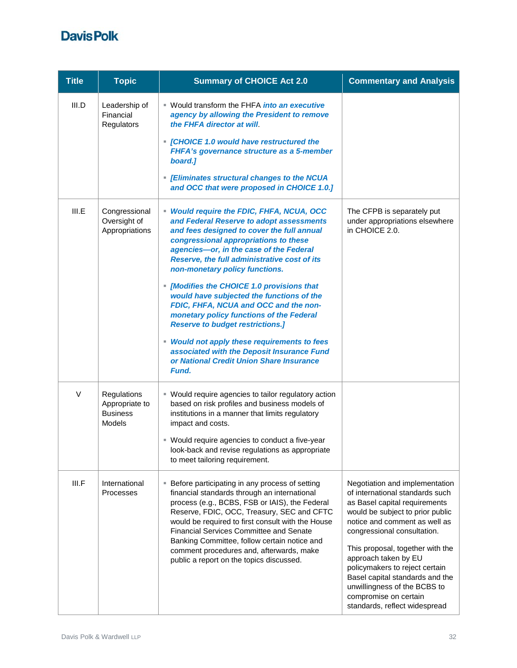| <b>Title</b> | <b>Topic</b>                                                      | <b>Summary of CHOICE Act 2.0</b>                                                                                                                                                                                                                                                                                                                                                                                                                                                                                                                                                                                                                                                        | <b>Commentary and Analysis</b>                                                                                                                                                                                                                                                                                                                                                                                                    |
|--------------|-------------------------------------------------------------------|-----------------------------------------------------------------------------------------------------------------------------------------------------------------------------------------------------------------------------------------------------------------------------------------------------------------------------------------------------------------------------------------------------------------------------------------------------------------------------------------------------------------------------------------------------------------------------------------------------------------------------------------------------------------------------------------|-----------------------------------------------------------------------------------------------------------------------------------------------------------------------------------------------------------------------------------------------------------------------------------------------------------------------------------------------------------------------------------------------------------------------------------|
| III.D        | Leadership of<br>Financial<br>Regulators                          | ■ Would transform the FHFA <i>into an executive</i><br>agency by allowing the President to remove<br>the FHFA director at will.<br>• [CHOICE 1.0 would have restructured the<br>FHFA's governance structure as a 5-member<br>board.]<br>• [Eliminates structural changes to the NCUA<br>and OCC that were proposed in CHOICE 1.0.]                                                                                                                                                                                                                                                                                                                                                      |                                                                                                                                                                                                                                                                                                                                                                                                                                   |
| III.E        | Congressional<br>Oversight of<br>Appropriations                   | • Would require the FDIC, FHFA, NCUA, OCC<br>and Federal Reserve to adopt assessments<br>and fees designed to cover the full annual<br>congressional appropriations to these<br>agencies-or, in the case of the Federal<br>Reserve, the full administrative cost of its<br>non-monetary policy functions.<br>• [Modifies the CHOICE 1.0 provisions that<br>would have subjected the functions of the<br>FDIC, FHFA, NCUA and OCC and the non-<br>monetary policy functions of the Federal<br><b>Reserve to budget restrictions.]</b><br>• Would not apply these requirements to fees<br>associated with the Deposit Insurance Fund<br>or National Credit Union Share Insurance<br>Fund. | The CFPB is separately put<br>under appropriations elsewhere<br>in CHOICE 2.0.                                                                                                                                                                                                                                                                                                                                                    |
| V            | Regulations<br>Appropriate to<br><b>Business</b><br><b>Models</b> | • Would require agencies to tailor regulatory action<br>based on risk profiles and business models of<br>institutions in a manner that limits regulatory<br>impact and costs.<br>■ Would require agencies to conduct a five-year<br>look-back and revise regulations as appropriate<br>to meet tailoring requirement.                                                                                                                                                                                                                                                                                                                                                                   |                                                                                                                                                                                                                                                                                                                                                                                                                                   |
| III.F        | International<br><b>Processes</b>                                 | <b>Before participating in any process of setting</b><br>financial standards through an international<br>process (e.g., BCBS, FSB or IAIS), the Federal<br>Reserve, FDIC, OCC, Treasury, SEC and CFTC<br>would be required to first consult with the House<br><b>Financial Services Committee and Senate</b><br>Banking Committee, follow certain notice and<br>comment procedures and, afterwards, make<br>public a report on the topics discussed.                                                                                                                                                                                                                                    | Negotiation and implementation<br>of international standards such<br>as Basel capital requirements<br>would be subject to prior public<br>notice and comment as well as<br>congressional consultation.<br>This proposal, together with the<br>approach taken by EU<br>policymakers to reject certain<br>Basel capital standards and the<br>unwillingness of the BCBS to<br>compromise on certain<br>standards, reflect widespread |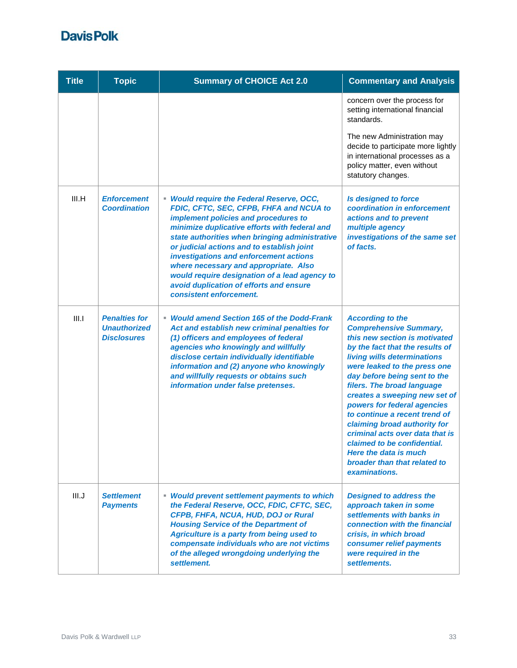| <b>Title</b> | <b>Topic</b>                                                      | <b>Summary of CHOICE Act 2.0</b>                                                                                                                                                                                                                                                                                                                                                                                                                                                        | <b>Commentary and Analysis</b>                                                                                                                                                                                                                                                                                                                                                                                                                                                                                                         |
|--------------|-------------------------------------------------------------------|-----------------------------------------------------------------------------------------------------------------------------------------------------------------------------------------------------------------------------------------------------------------------------------------------------------------------------------------------------------------------------------------------------------------------------------------------------------------------------------------|----------------------------------------------------------------------------------------------------------------------------------------------------------------------------------------------------------------------------------------------------------------------------------------------------------------------------------------------------------------------------------------------------------------------------------------------------------------------------------------------------------------------------------------|
|              |                                                                   |                                                                                                                                                                                                                                                                                                                                                                                                                                                                                         | concern over the process for<br>setting international financial<br>standards.                                                                                                                                                                                                                                                                                                                                                                                                                                                          |
|              |                                                                   |                                                                                                                                                                                                                                                                                                                                                                                                                                                                                         | The new Administration may<br>decide to participate more lightly<br>in international processes as a<br>policy matter, even without<br>statutory changes.                                                                                                                                                                                                                                                                                                                                                                               |
| III.H        | <b>Enforcement</b><br><b>Coordination</b>                         | • Would require the Federal Reserve, OCC,<br>FDIC, CFTC, SEC, CFPB, FHFA and NCUA to<br>implement policies and procedures to<br>minimize duplicative efforts with federal and<br>state authorities when bringing administrative<br>or judicial actions and to establish joint<br>investigations and enforcement actions<br>where necessary and appropriate. Also<br>would require designation of a lead agency to<br>avoid duplication of efforts and ensure<br>consistent enforcement. | <b>Is designed to force</b><br>coordination in enforcement<br>actions and to prevent<br>multiple agency<br>investigations of the same set<br>of facts.                                                                                                                                                                                                                                                                                                                                                                                 |
| III.1        | <b>Penalties for</b><br><b>Unauthorized</b><br><b>Disclosures</b> | <b>Would amend Section 165 of the Dodd-Frank</b><br>Act and establish new criminal penalties for<br>(1) officers and employees of federal<br>agencies who knowingly and willfully<br>disclose certain individually identifiable<br>information and (2) anyone who knowingly<br>and willfully requests or obtains such<br>information under false pretenses.                                                                                                                             | <b>According to the</b><br><b>Comprehensive Summary,</b><br>this new section is motivated<br>by the fact that the results of<br>living wills determinations<br>were leaked to the press one<br>day before being sent to the<br>filers. The broad language<br>creates a sweeping new set of<br>powers for federal agencies<br>to continue a recent trend of<br>claiming broad authority for<br>criminal acts over data that is<br>claimed to be confidential.<br>Here the data is much<br>broader than that related to<br>examinations. |
| III.J        | <b>Settlement</b><br><b>Payments</b>                              | <b>Would prevent settlement payments to which</b><br>the Federal Reserve, OCC, FDIC, CFTC, SEC,<br>CFPB, FHFA, NCUA, HUD, DOJ or Rural<br><b>Housing Service of the Department of</b><br>Agriculture is a party from being used to<br>compensate individuals who are not victims<br>of the alleged wrongdoing underlying the<br>settlement.                                                                                                                                             | <b>Designed to address the</b><br>approach taken in some<br>settlements with banks in<br>connection with the financial<br>crisis, in which broad<br>consumer relief payments<br>were required in the<br>settlements.                                                                                                                                                                                                                                                                                                                   |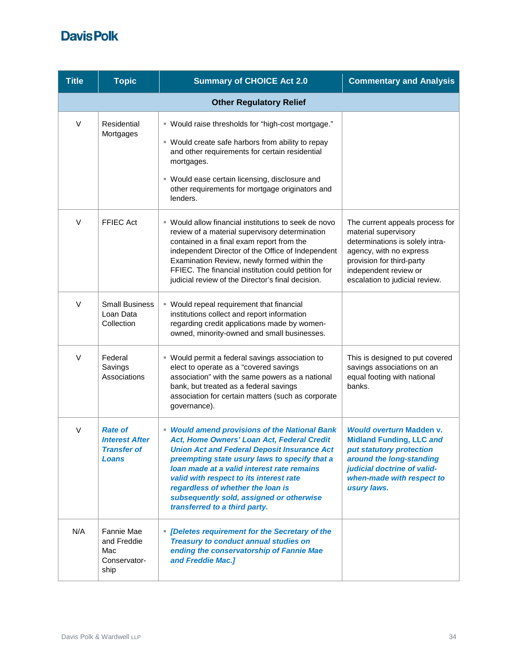| <b>Title</b>                   | <b>Topic</b>                                                           | <b>Summary of CHOICE Act 2.0</b>                                                                                                                                                                                                                                                                                                                                                                              | <b>Commentary and Analysis</b>                                                                                                                                                                                |
|--------------------------------|------------------------------------------------------------------------|---------------------------------------------------------------------------------------------------------------------------------------------------------------------------------------------------------------------------------------------------------------------------------------------------------------------------------------------------------------------------------------------------------------|---------------------------------------------------------------------------------------------------------------------------------------------------------------------------------------------------------------|
| <b>Other Regulatory Relief</b> |                                                                        |                                                                                                                                                                                                                                                                                                                                                                                                               |                                                                                                                                                                                                               |
| V                              | Residential<br>Mortgages                                               | " Would raise thresholds for "high-cost mortgage."<br>" Would create safe harbors from ability to repay<br>and other requirements for certain residential<br>mortgages.<br>" Would ease certain licensing, disclosure and<br>other requirements for mortgage originators and<br>lenders.                                                                                                                      |                                                                                                                                                                                                               |
| $\vee$                         | <b>FFIEC Act</b>                                                       | ■ Would allow financial institutions to seek de novo<br>review of a material supervisory determination<br>contained in a final exam report from the<br>independent Director of the Office of Independent<br>Examination Review, newly formed within the<br>FFIEC. The financial institution could petition for<br>judicial review of the Director's final decision.                                           | The current appeals process for<br>material supervisory<br>determinations is solely intra-<br>agency, with no express<br>provision for third-party<br>independent review or<br>escalation to judicial review. |
| V                              | <b>Small Business</b><br>Loan Data<br>Collection                       | • Would repeal requirement that financial<br>institutions collect and report information<br>regarding credit applications made by women-<br>owned, minority-owned and small businesses.                                                                                                                                                                                                                       |                                                                                                                                                                                                               |
| V                              | Federal<br>Savings<br>Associations                                     | ■ Would permit a federal savings association to<br>elect to operate as a "covered savings<br>association" with the same powers as a national<br>bank, but treated as a federal savings<br>association for certain matters (such as corporate<br>governance).                                                                                                                                                  | This is designed to put covered<br>savings associations on an<br>equal footing with national<br>banks.                                                                                                        |
| $\vee$                         | <b>Rate of</b><br><b>Interest After</b><br><b>Transfer of</b><br>Loans | • Would amend provisions of the National Bank<br>Act, Home Owners' Loan Act, Federal Credit<br><b>Union Act and Federal Deposit Insurance Act</b><br>preempting state usury laws to specify that a<br>loan made at a valid interest rate remains<br>valid with respect to its interest rate<br>regardless of whether the loan is<br>subsequently sold, assigned or otherwise<br>transferred to a third party. | <b>Would overturn Madden v.</b><br><b>Midland Funding, LLC and</b><br>put statutory protection<br>around the long-standing<br>judicial doctrine of valid-<br>when-made with respect to<br>usury laws.         |
| N/A                            | Fannie Mae<br>and Freddie<br>Mac<br>Conservator-<br>ship               | • [Deletes requirement for the Secretary of the<br><b>Treasury to conduct annual studies on</b><br>ending the conservatorship of Fannie Mae<br>and Freddie Mac.]                                                                                                                                                                                                                                              |                                                                                                                                                                                                               |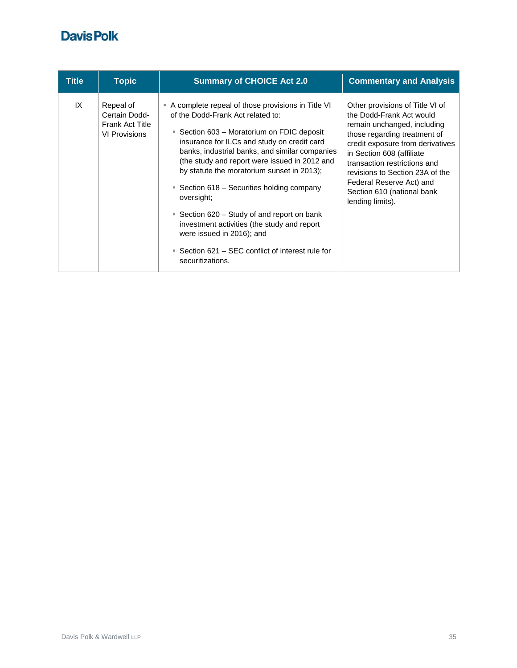| <b>Title</b> | <b>Topic</b>                                                                 | <b>Summary of CHOICE Act 2.0</b>                                                                                                                                                                                                                                                                                                                                                                                                                                                                                                                                                                            | <b>Commentary and Analysis</b>                                                                                                                                                                                                                                                                                                                |
|--------------|------------------------------------------------------------------------------|-------------------------------------------------------------------------------------------------------------------------------------------------------------------------------------------------------------------------------------------------------------------------------------------------------------------------------------------------------------------------------------------------------------------------------------------------------------------------------------------------------------------------------------------------------------------------------------------------------------|-----------------------------------------------------------------------------------------------------------------------------------------------------------------------------------------------------------------------------------------------------------------------------------------------------------------------------------------------|
| IX           | Repeal of<br>Certain Dodd-<br><b>Frank Act Title</b><br><b>VI Provisions</b> | A complete repeal of those provisions in Title VI<br>of the Dodd-Frank Act related to:<br>Section 603 – Moratorium on FDIC deposit<br>×.<br>insurance for ILCs and study on credit card<br>banks, industrial banks, and similar companies<br>(the study and report were issued in 2012 and<br>by statute the moratorium sunset in 2013);<br>Section 618 – Securities holding company<br>٠<br>oversight;<br>■ Section 620 – Study of and report on bank<br>investment activities (the study and report<br>were issued in 2016); and<br>■ Section 621 – SEC conflict of interest rule for<br>securitizations. | Other provisions of Title VI of<br>the Dodd-Frank Act would<br>remain unchanged, including<br>those regarding treatment of<br>credit exposure from derivatives<br>in Section 608 (affiliate)<br>transaction restrictions and<br>revisions to Section 23A of the<br>Federal Reserve Act) and<br>Section 610 (national bank<br>lending limits). |